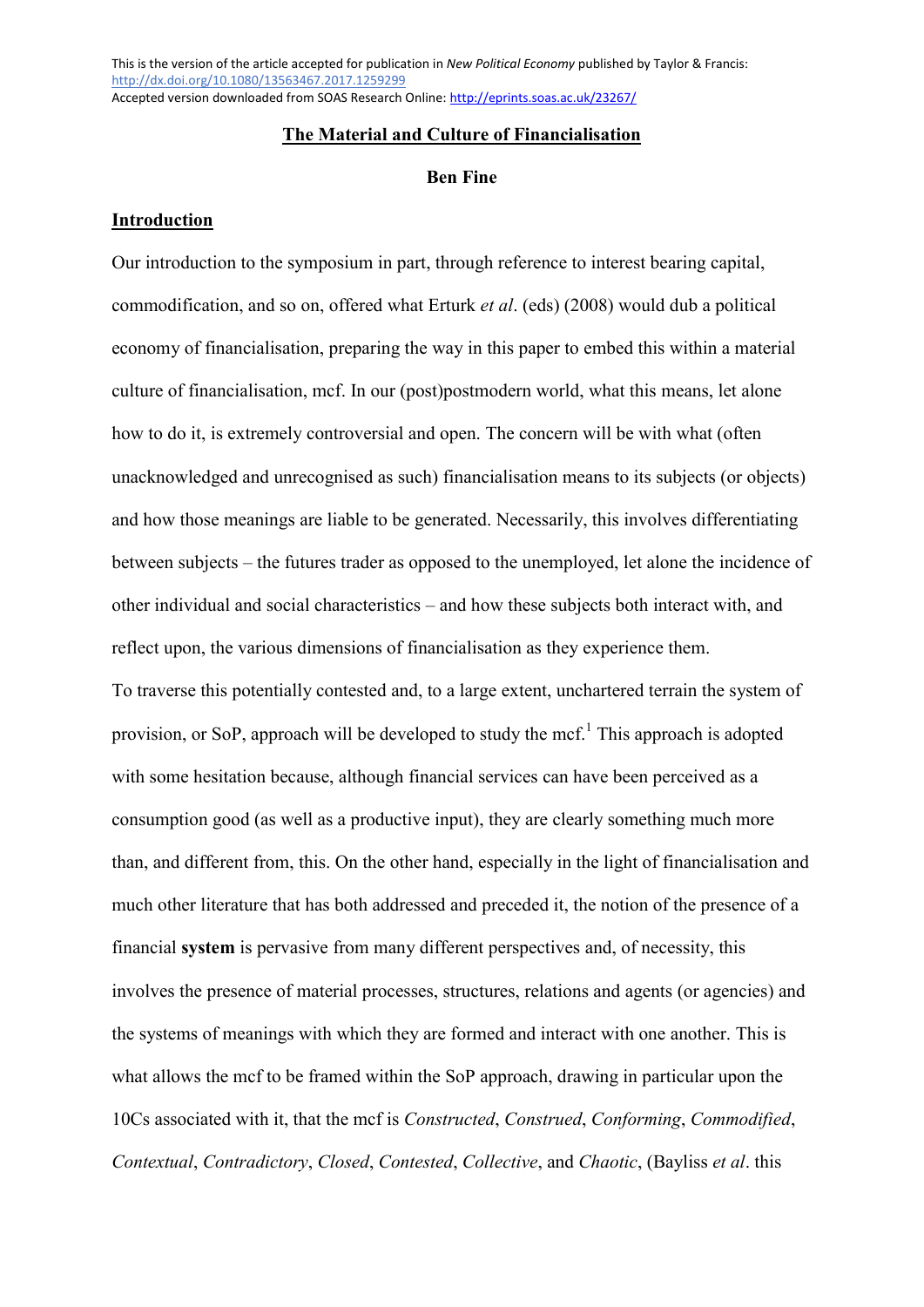### **The Material and Culture of Financialisation**

### **Ben Fine**

### **Introduction**

Our introduction to the symposium in part, through reference to interest bearing capital, commodification, and so on, offered what Erturk *et al*. (eds) (2008) would dub a political economy of financialisation, preparing the way in this paper to embed this within a material culture of financialisation, mcf. In our (post)postmodern world, what this means, let alone how to do it, is extremely controversial and open. The concern will be with what (often unacknowledged and unrecognised as such) financialisation means to its subjects (or objects) and how those meanings are liable to be generated. Necessarily, this involves differentiating between subjects – the futures trader as opposed to the unemployed, let alone the incidence of other individual and social characteristics – and how these subjects both interact with, and reflect upon, the various dimensions of financialisation as they experience them. To traverse this potentially contested and, to a large extent, unchartered terrain the system of provision, or SoP, approach will be developed to study the mcf.<sup>1</sup> This approach is adopted with some hesitation because, although financial services can have been perceived as a consumption good (as well as a productive input), they are clearly something much more than, and different from, this. On the other hand, especially in the light of financialisation and much other literature that has both addressed and preceded it, the notion of the presence of a financial **system** is pervasive from many different perspectives and, of necessity, this involves the presence of material processes, structures, relations and agents (or agencies) and the systems of meanings with which they are formed and interact with one another. This is what allows the mcf to be framed within the SoP approach, drawing in particular upon the 10Cs associated with it, that the mcf is *Constructed*, *Construed*, *Conforming*, *Commodified*, *Contextual*, *Contradictory*, *Closed*, *Contested*, *Collective*, and *Chaotic*, (Bayliss *et al*. this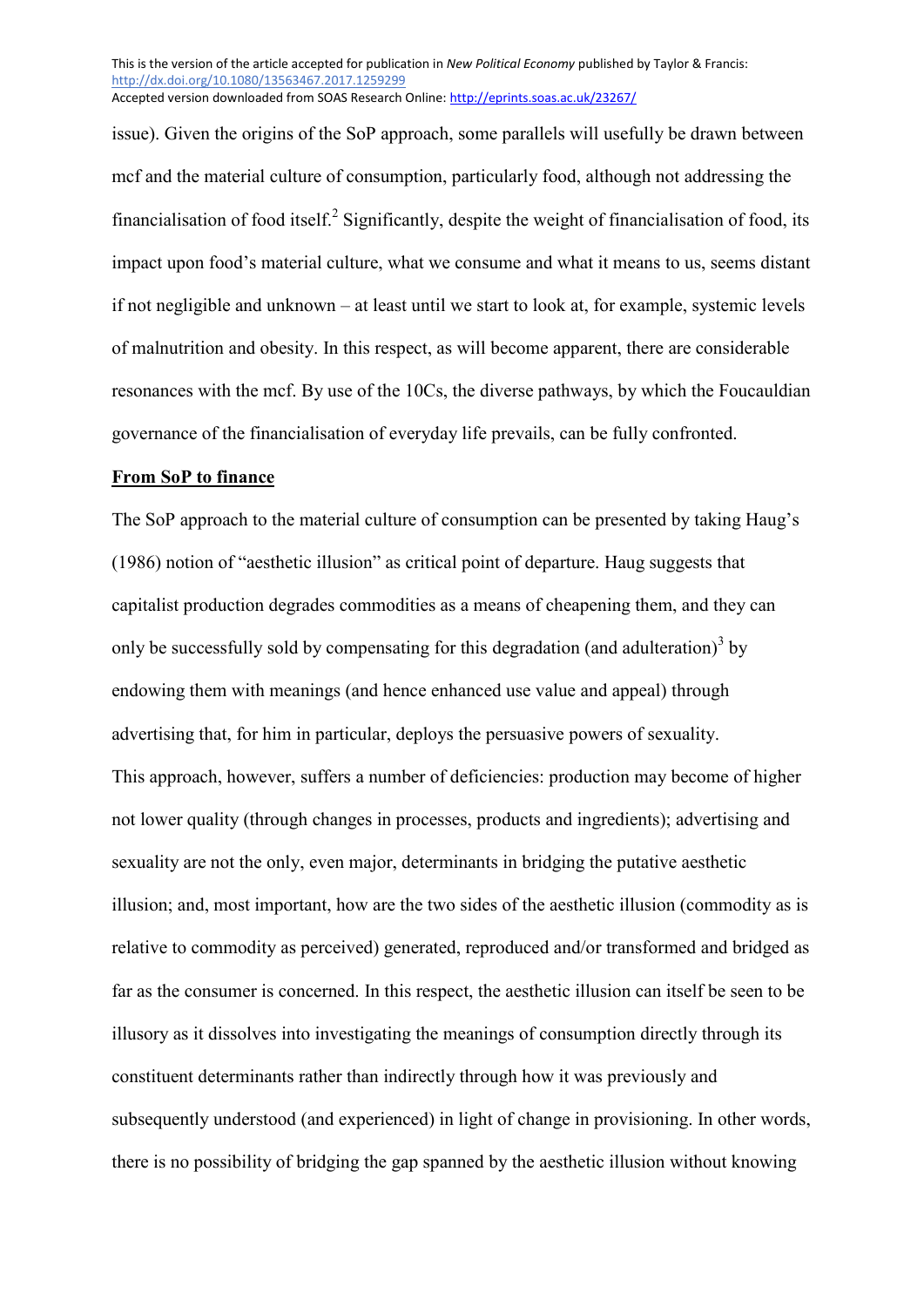issue). Given the origins of the SoP approach, some parallels will usefully be drawn between mcf and the material culture of consumption, particularly food, although not addressing the financialisation of food itself.<sup>2</sup> Significantly, despite the weight of financialisation of food, its impact upon food"s material culture, what we consume and what it means to us, seems distant if not negligible and unknown – at least until we start to look at, for example, systemic levels of malnutrition and obesity. In this respect, as will become apparent, there are considerable resonances with the mcf. By use of the 10Cs, the diverse pathways, by which the Foucauldian governance of the financialisation of everyday life prevails, can be fully confronted.

### **From SoP to finance**

The SoP approach to the material culture of consumption can be presented by taking Haug"s (1986) notion of "aesthetic illusion" as critical point of departure. Haug suggests that capitalist production degrades commodities as a means of cheapening them, and they can only be successfully sold by compensating for this degradation (and adulteration) $3$  by endowing them with meanings (and hence enhanced use value and appeal) through advertising that, for him in particular, deploys the persuasive powers of sexuality. This approach, however, suffers a number of deficiencies: production may become of higher not lower quality (through changes in processes, products and ingredients); advertising and sexuality are not the only, even major, determinants in bridging the putative aesthetic illusion; and, most important, how are the two sides of the aesthetic illusion (commodity as is relative to commodity as perceived) generated, reproduced and/or transformed and bridged as far as the consumer is concerned. In this respect, the aesthetic illusion can itself be seen to be illusory as it dissolves into investigating the meanings of consumption directly through its constituent determinants rather than indirectly through how it was previously and subsequently understood (and experienced) in light of change in provisioning. In other words, there is no possibility of bridging the gap spanned by the aesthetic illusion without knowing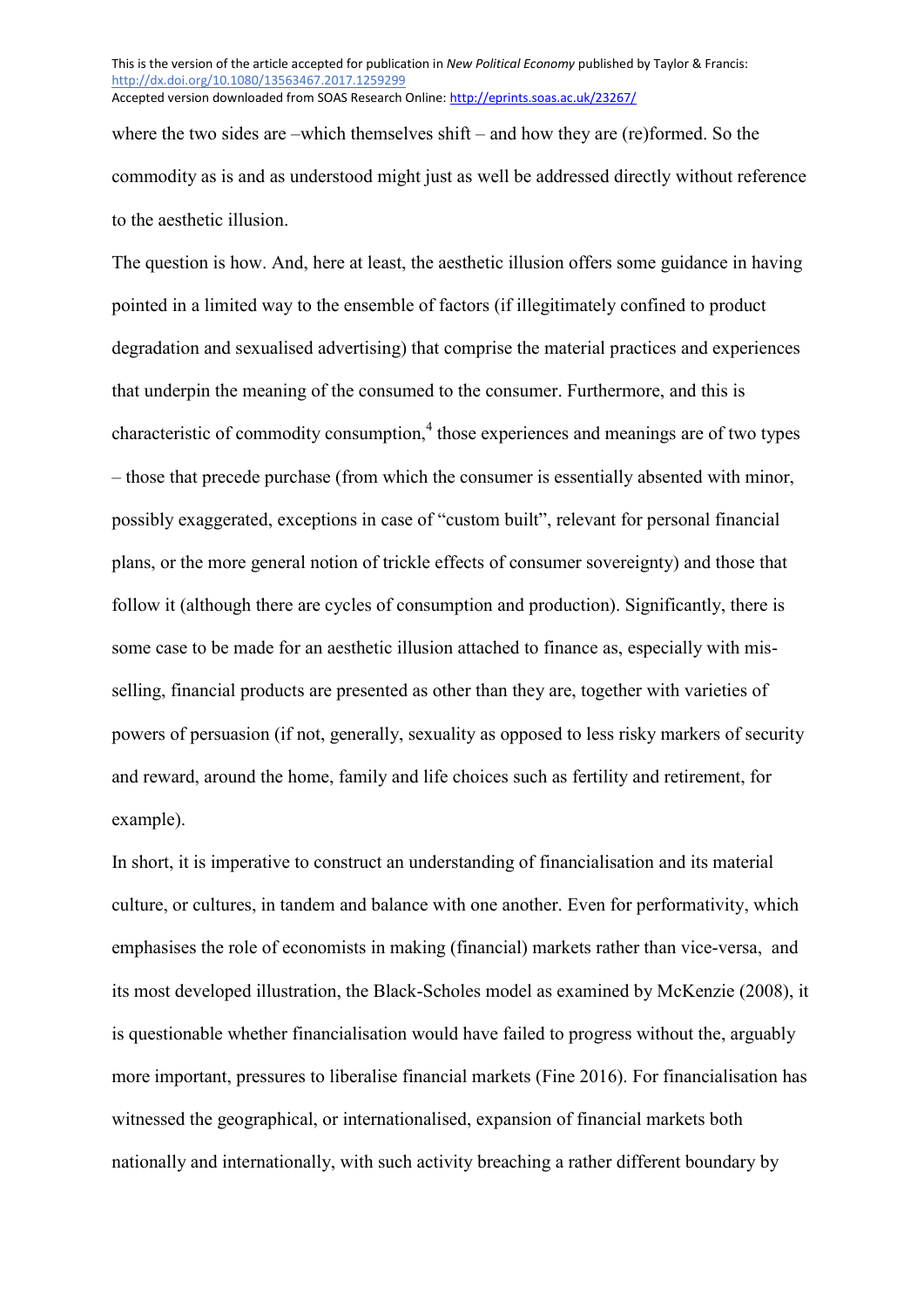where the two sides are –which themselves shift – and how they are (re)formed. So the commodity as is and as understood might just as well be addressed directly without reference to the aesthetic illusion.

The question is how. And, here at least, the aesthetic illusion offers some guidance in having pointed in a limited way to the ensemble of factors (if illegitimately confined to product degradation and sexualised advertising) that comprise the material practices and experiences that underpin the meaning of the consumed to the consumer. Furthermore, and this is characteristic of commodity consumption, $4$  those experiences and meanings are of two types – those that precede purchase (from which the consumer is essentially absented with minor, possibly exaggerated, exceptions in case of "custom built", relevant for personal financial plans, or the more general notion of trickle effects of consumer sovereignty) and those that follow it (although there are cycles of consumption and production). Significantly, there is some case to be made for an aesthetic illusion attached to finance as, especially with misselling, financial products are presented as other than they are, together with varieties of powers of persuasion (if not, generally, sexuality as opposed to less risky markers of security and reward, around the home, family and life choices such as fertility and retirement, for example).

In short, it is imperative to construct an understanding of financialisation and its material culture, or cultures, in tandem and balance with one another. Even for performativity, which emphasises the role of economists in making (financial) markets rather than vice-versa, and its most developed illustration, the Black-Scholes model as examined by McKenzie (2008), it is questionable whether financialisation would have failed to progress without the, arguably more important, pressures to liberalise financial markets (Fine 2016). For financialisation has witnessed the geographical, or internationalised, expansion of financial markets both nationally and internationally, with such activity breaching a rather different boundary by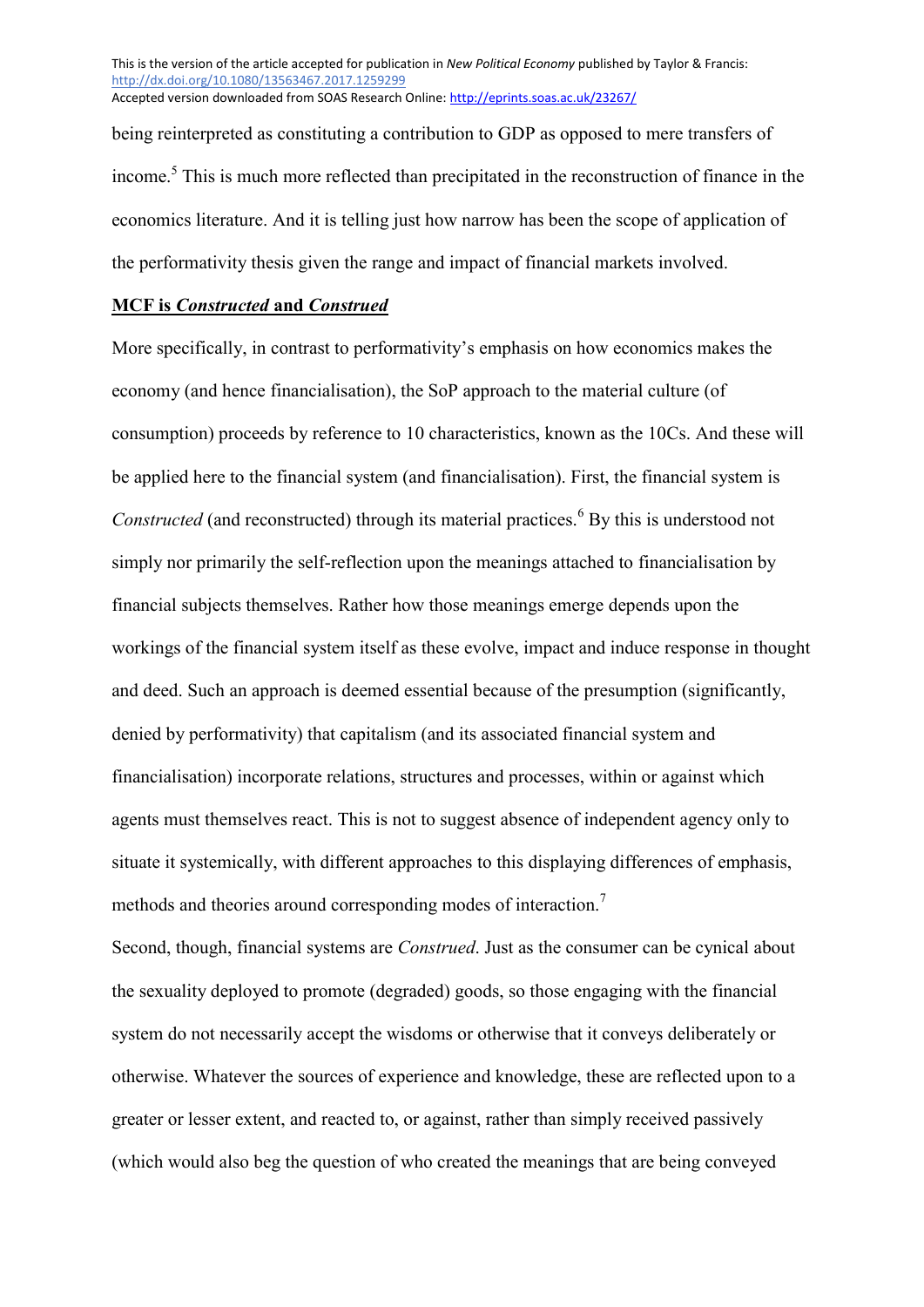being reinterpreted as constituting a contribution to GDP as opposed to mere transfers of income.<sup>5</sup> This is much more reflected than precipitated in the reconstruction of finance in the economics literature. And it is telling just how narrow has been the scope of application of the performativity thesis given the range and impact of financial markets involved.

## **MCF is** *Constructed* **and** *Construed*

More specifically, in contrast to performativity's emphasis on how economics makes the economy (and hence financialisation), the SoP approach to the material culture (of consumption) proceeds by reference to 10 characteristics, known as the 10Cs. And these will be applied here to the financial system (and financialisation). First, the financial system is *Constructed* (and reconstructed) through its material practices.<sup>6</sup> By this is understood not simply nor primarily the self-reflection upon the meanings attached to financialisation by financial subjects themselves. Rather how those meanings emerge depends upon the workings of the financial system itself as these evolve, impact and induce response in thought and deed. Such an approach is deemed essential because of the presumption (significantly, denied by performativity) that capitalism (and its associated financial system and financialisation) incorporate relations, structures and processes, within or against which agents must themselves react. This is not to suggest absence of independent agency only to situate it systemically, with different approaches to this displaying differences of emphasis, methods and theories around corresponding modes of interaction.<sup>7</sup>

Second, though, financial systems are *Construed*. Just as the consumer can be cynical about the sexuality deployed to promote (degraded) goods, so those engaging with the financial system do not necessarily accept the wisdoms or otherwise that it conveys deliberately or otherwise. Whatever the sources of experience and knowledge, these are reflected upon to a greater or lesser extent, and reacted to, or against, rather than simply received passively (which would also beg the question of who created the meanings that are being conveyed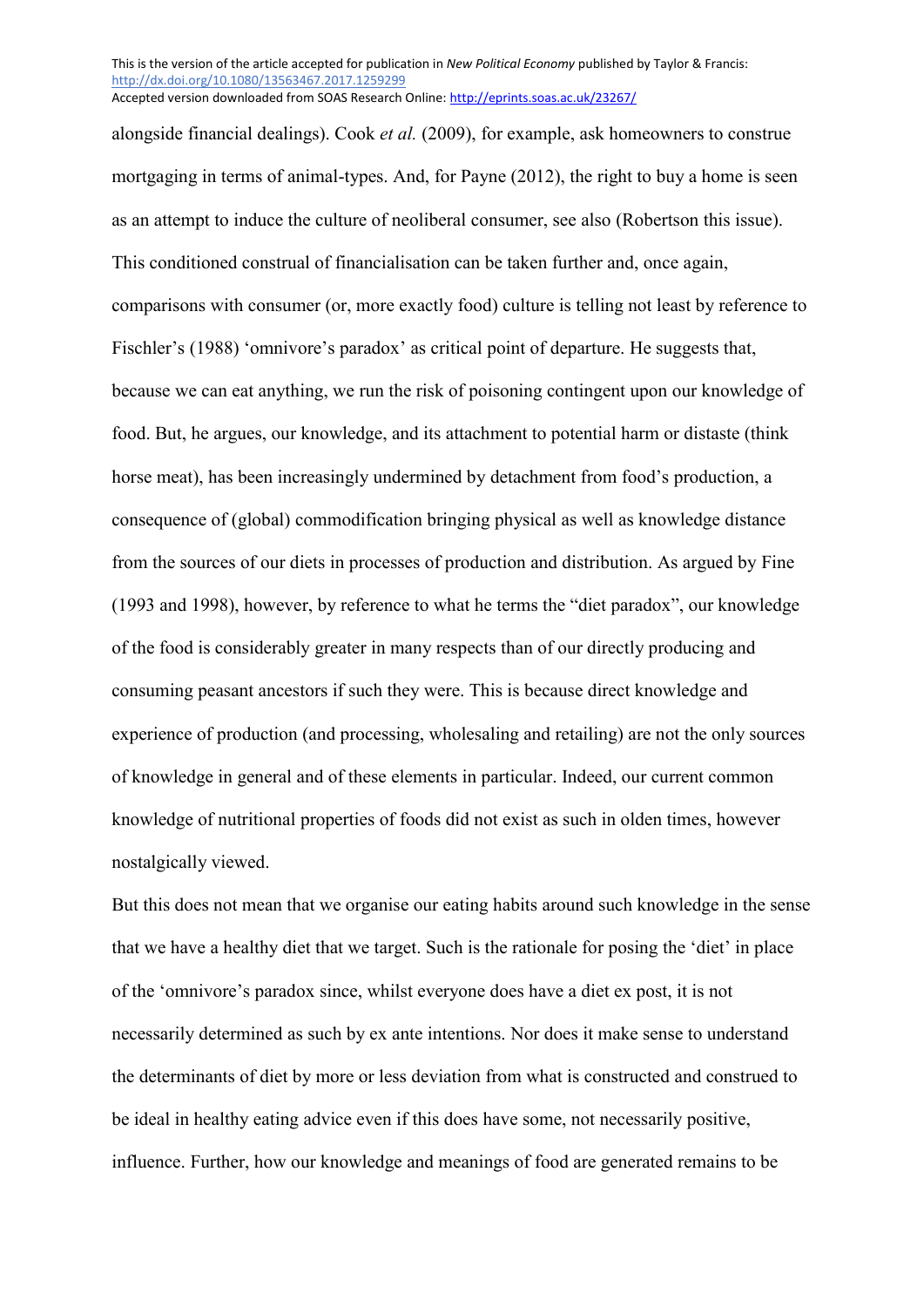alongside financial dealings). Cook *et al.* (2009), for example, ask homeowners to construe mortgaging in terms of animal-types. And, for Payne (2012), the right to buy a home is seen as an attempt to induce the culture of neoliberal consumer, see also (Robertson this issue). This conditioned construal of financialisation can be taken further and, once again, comparisons with consumer (or, more exactly food) culture is telling not least by reference to Fischler's (1988) 'omnivore's paradox' as critical point of departure. He suggests that, because we can eat anything, we run the risk of poisoning contingent upon our knowledge of food. But, he argues, our knowledge, and its attachment to potential harm or distaste (think horse meat), has been increasingly undermined by detachment from food's production, a consequence of (global) commodification bringing physical as well as knowledge distance from the sources of our diets in processes of production and distribution. As argued by Fine (1993 and 1998), however, by reference to what he terms the "diet paradox", our knowledge of the food is considerably greater in many respects than of our directly producing and consuming peasant ancestors if such they were. This is because direct knowledge and experience of production (and processing, wholesaling and retailing) are not the only sources of knowledge in general and of these elements in particular. Indeed, our current common knowledge of nutritional properties of foods did not exist as such in olden times, however nostalgically viewed.

But this does not mean that we organise our eating habits around such knowledge in the sense that we have a healthy diet that we target. Such is the rationale for posing the "diet" in place of the "omnivore"s paradox since, whilst everyone does have a diet ex post, it is not necessarily determined as such by ex ante intentions. Nor does it make sense to understand the determinants of diet by more or less deviation from what is constructed and construed to be ideal in healthy eating advice even if this does have some, not necessarily positive, influence. Further, how our knowledge and meanings of food are generated remains to be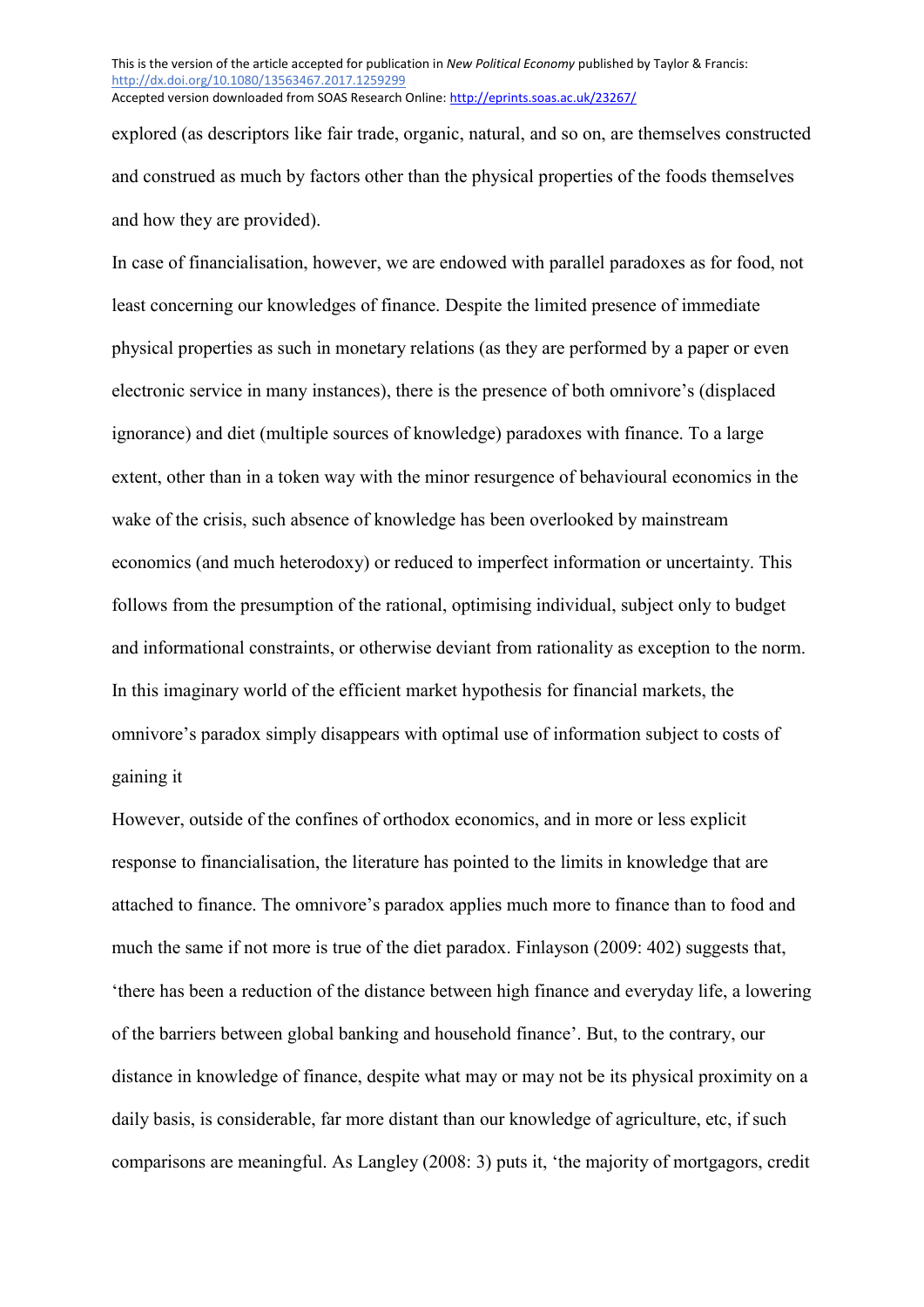explored (as descriptors like fair trade, organic, natural, and so on, are themselves constructed and construed as much by factors other than the physical properties of the foods themselves and how they are provided).

In case of financialisation, however, we are endowed with parallel paradoxes as for food, not least concerning our knowledges of finance. Despite the limited presence of immediate physical properties as such in monetary relations (as they are performed by a paper or even electronic service in many instances), there is the presence of both omnivore"s (displaced ignorance) and diet (multiple sources of knowledge) paradoxes with finance. To a large extent, other than in a token way with the minor resurgence of behavioural economics in the wake of the crisis, such absence of knowledge has been overlooked by mainstream economics (and much heterodoxy) or reduced to imperfect information or uncertainty. This follows from the presumption of the rational, optimising individual, subject only to budget and informational constraints, or otherwise deviant from rationality as exception to the norm. In this imaginary world of the efficient market hypothesis for financial markets, the omnivore"s paradox simply disappears with optimal use of information subject to costs of gaining it

However, outside of the confines of orthodox economics, and in more or less explicit response to financialisation, the literature has pointed to the limits in knowledge that are attached to finance. The omnivore"s paradox applies much more to finance than to food and much the same if not more is true of the diet paradox. Finlayson (2009: 402) suggests that, "there has been a reduction of the distance between high finance and everyday life, a lowering of the barriers between global banking and household finance". But, to the contrary, our distance in knowledge of finance, despite what may or may not be its physical proximity on a daily basis, is considerable, far more distant than our knowledge of agriculture, etc, if such comparisons are meaningful. As Langley (2008: 3) puts it, "the majority of mortgagors, credit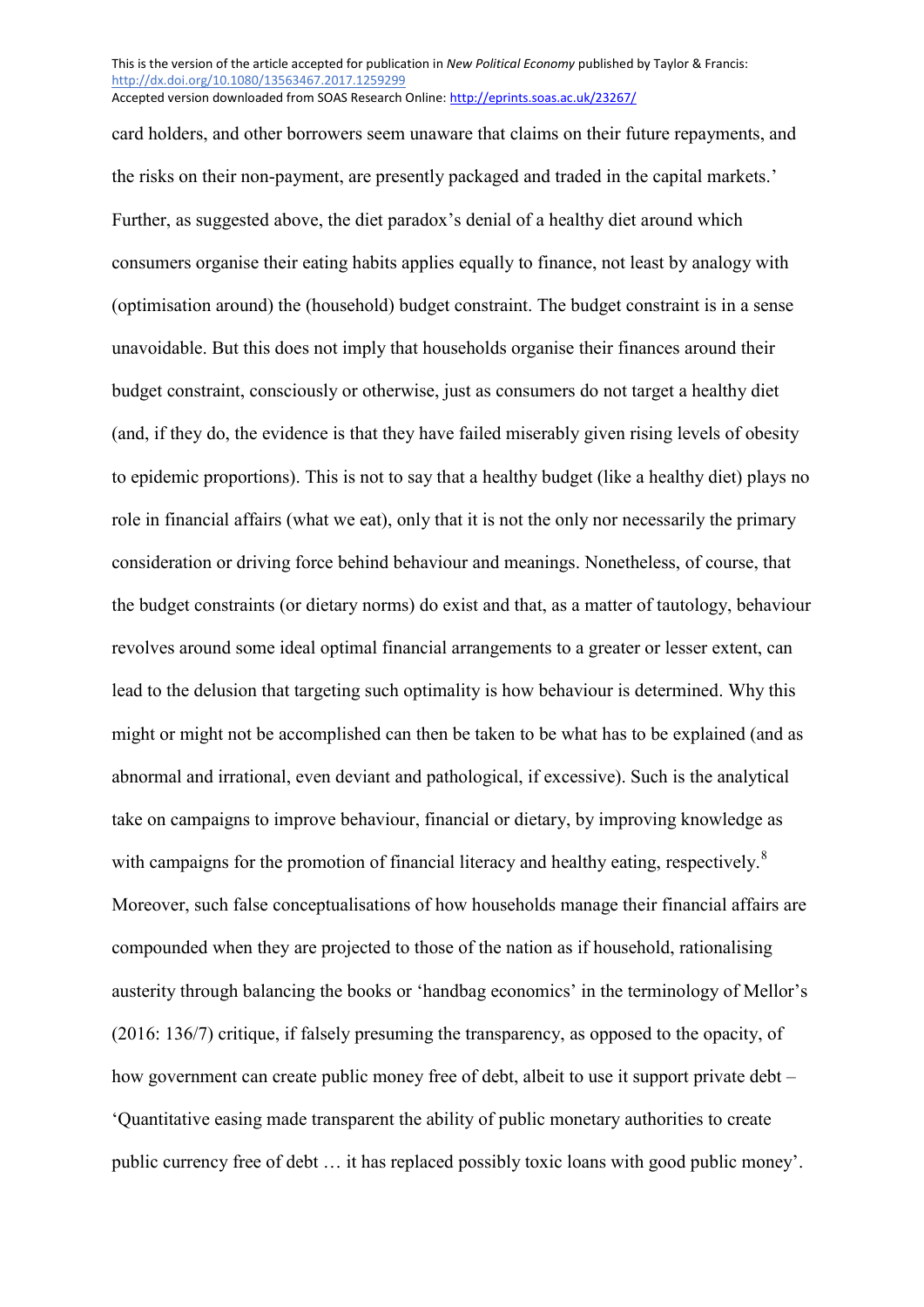card holders, and other borrowers seem unaware that claims on their future repayments, and the risks on their non-payment, are presently packaged and traded in the capital markets." Further, as suggested above, the diet paradox's denial of a healthy diet around which consumers organise their eating habits applies equally to finance, not least by analogy with (optimisation around) the (household) budget constraint. The budget constraint is in a sense unavoidable. But this does not imply that households organise their finances around their budget constraint, consciously or otherwise, just as consumers do not target a healthy diet (and, if they do, the evidence is that they have failed miserably given rising levels of obesity to epidemic proportions). This is not to say that a healthy budget (like a healthy diet) plays no role in financial affairs (what we eat), only that it is not the only nor necessarily the primary consideration or driving force behind behaviour and meanings. Nonetheless, of course, that the budget constraints (or dietary norms) do exist and that, as a matter of tautology, behaviour revolves around some ideal optimal financial arrangements to a greater or lesser extent, can lead to the delusion that targeting such optimality is how behaviour is determined. Why this might or might not be accomplished can then be taken to be what has to be explained (and as abnormal and irrational, even deviant and pathological, if excessive). Such is the analytical take on campaigns to improve behaviour, financial or dietary, by improving knowledge as with campaigns for the promotion of financial literacy and healthy eating, respectively.<sup>8</sup> Moreover, such false conceptualisations of how households manage their financial affairs are compounded when they are projected to those of the nation as if household, rationalising austerity through balancing the books or 'handbag economics' in the terminology of Mellor's (2016: 136/7) critique, if falsely presuming the transparency, as opposed to the opacity, of how government can create public money free of debt, albeit to use it support private debt – "Quantitative easing made transparent the ability of public monetary authorities to create public currency free of debt … it has replaced possibly toxic loans with good public money".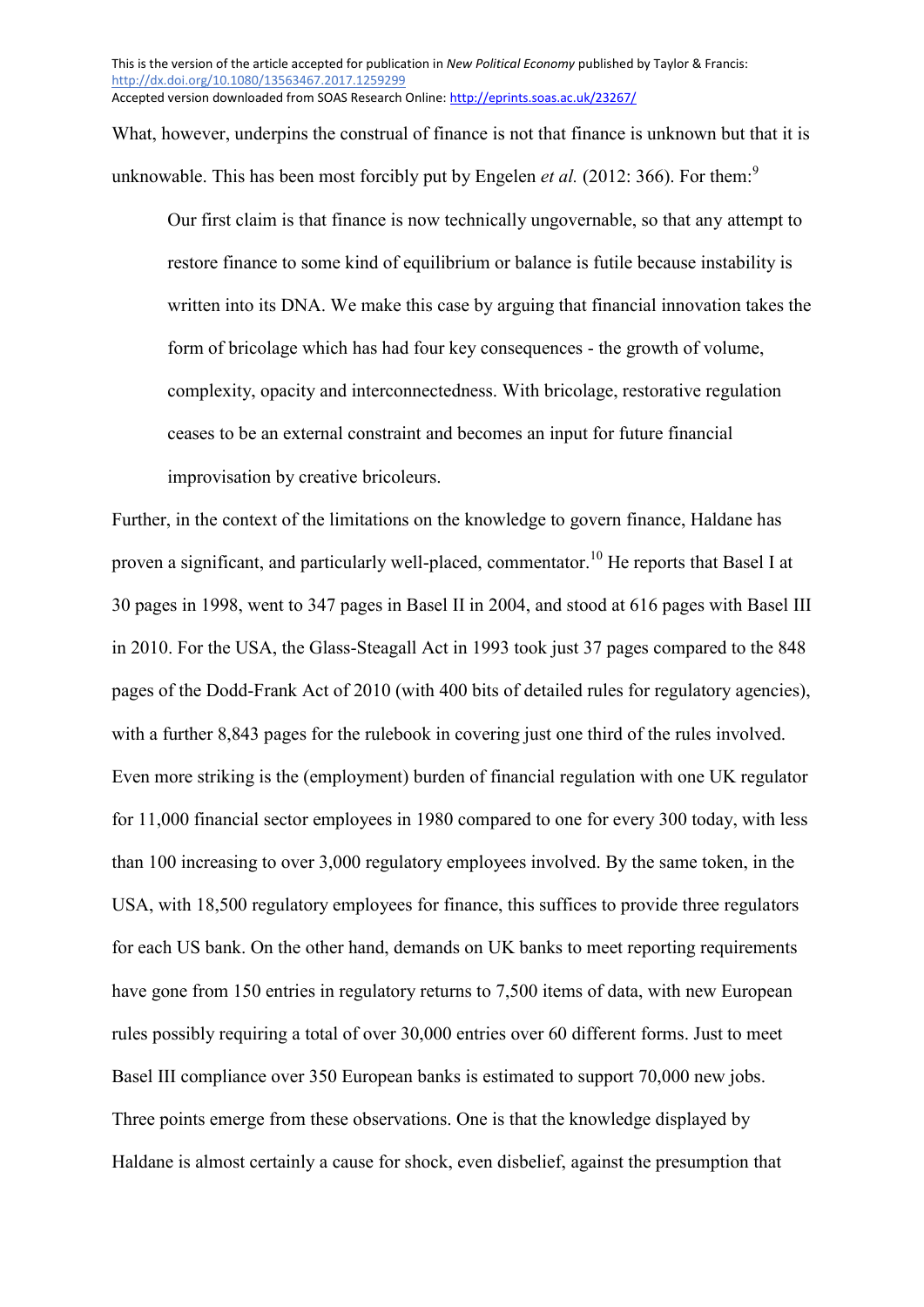What, however, underpins the construal of finance is not that finance is unknown but that it is unknowable. This has been most forcibly put by Engelen *et al.* (2012: 366). For them:<sup>9</sup>

Our first claim is that finance is now technically ungovernable, so that any attempt to restore finance to some kind of equilibrium or balance is futile because instability is written into its DNA. We make this case by arguing that financial innovation takes the form of bricolage which has had four key consequences - the growth of volume, complexity, opacity and interconnectedness. With bricolage, restorative regulation ceases to be an external constraint and becomes an input for future financial improvisation by creative bricoleurs.

Further, in the context of the limitations on the knowledge to govern finance, Haldane has proven a significant, and particularly well-placed, commentator.<sup>10</sup> He reports that Basel I at 30 pages in 1998, went to 347 pages in Basel II in 2004, and stood at 616 pages with Basel III in 2010. For the USA, the Glass-Steagall Act in 1993 took just 37 pages compared to the 848 pages of the Dodd-Frank Act of 2010 (with 400 bits of detailed rules for regulatory agencies), with a further 8,843 pages for the rulebook in covering just one third of the rules involved. Even more striking is the (employment) burden of financial regulation with one UK regulator for 11,000 financial sector employees in 1980 compared to one for every 300 today, with less than 100 increasing to over 3,000 regulatory employees involved. By the same token, in the USA, with 18,500 regulatory employees for finance, this suffices to provide three regulators for each US bank. On the other hand, demands on UK banks to meet reporting requirements have gone from 150 entries in regulatory returns to 7,500 items of data, with new European rules possibly requiring a total of over 30,000 entries over 60 different forms. Just to meet Basel III compliance over 350 European banks is estimated to support 70,000 new jobs. Three points emerge from these observations. One is that the knowledge displayed by Haldane is almost certainly a cause for shock, even disbelief, against the presumption that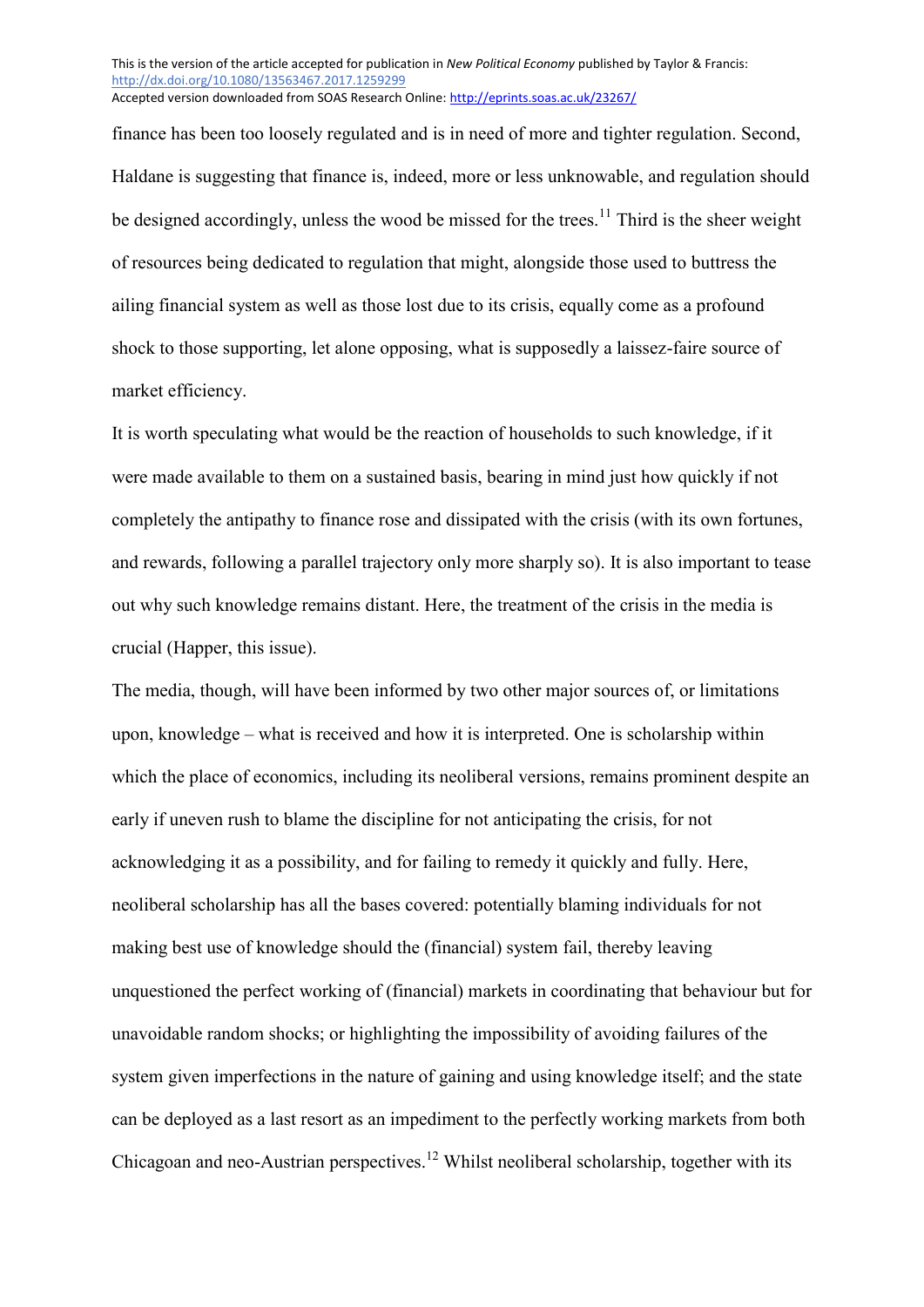finance has been too loosely regulated and is in need of more and tighter regulation. Second, Haldane is suggesting that finance is, indeed, more or less unknowable, and regulation should be designed accordingly, unless the wood be missed for the trees.<sup>11</sup> Third is the sheer weight of resources being dedicated to regulation that might, alongside those used to buttress the ailing financial system as well as those lost due to its crisis, equally come as a profound shock to those supporting, let alone opposing, what is supposedly a laissez-faire source of market efficiency.

It is worth speculating what would be the reaction of households to such knowledge, if it were made available to them on a sustained basis, bearing in mind just how quickly if not completely the antipathy to finance rose and dissipated with the crisis (with its own fortunes, and rewards, following a parallel trajectory only more sharply so). It is also important to tease out why such knowledge remains distant. Here, the treatment of the crisis in the media is crucial (Happer, this issue).

The media, though, will have been informed by two other major sources of, or limitations upon, knowledge – what is received and how it is interpreted. One is scholarship within which the place of economics, including its neoliberal versions, remains prominent despite an early if uneven rush to blame the discipline for not anticipating the crisis, for not acknowledging it as a possibility, and for failing to remedy it quickly and fully. Here, neoliberal scholarship has all the bases covered: potentially blaming individuals for not making best use of knowledge should the (financial) system fail, thereby leaving unquestioned the perfect working of (financial) markets in coordinating that behaviour but for unavoidable random shocks; or highlighting the impossibility of avoiding failures of the system given imperfections in the nature of gaining and using knowledge itself; and the state can be deployed as a last resort as an impediment to the perfectly working markets from both Chicagoan and neo-Austrian perspectives.<sup>12</sup> Whilst neoliberal scholarship, together with its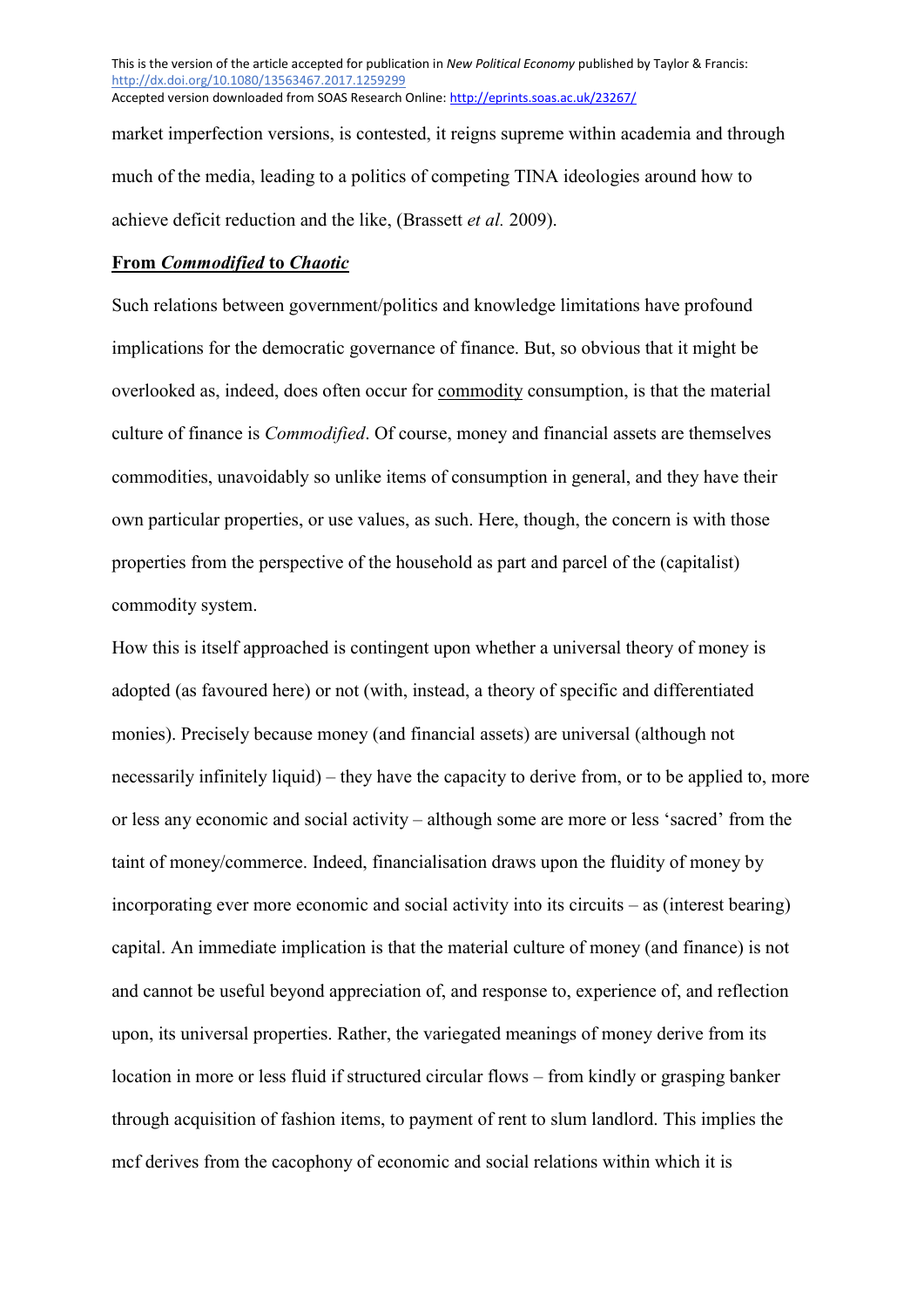market imperfection versions, is contested, it reigns supreme within academia and through much of the media, leading to a politics of competing TINA ideologies around how to achieve deficit reduction and the like, (Brassett *et al.* 2009).

## **From** *Commodified* **to** *Chaotic*

Such relations between government/politics and knowledge limitations have profound implications for the democratic governance of finance. But, so obvious that it might be overlooked as, indeed, does often occur for commodity consumption, is that the material culture of finance is *Commodified*. Of course, money and financial assets are themselves commodities, unavoidably so unlike items of consumption in general, and they have their own particular properties, or use values, as such. Here, though, the concern is with those properties from the perspective of the household as part and parcel of the (capitalist) commodity system.

How this is itself approached is contingent upon whether a universal theory of money is adopted (as favoured here) or not (with, instead, a theory of specific and differentiated monies). Precisely because money (and financial assets) are universal (although not necessarily infinitely liquid) – they have the capacity to derive from, or to be applied to, more or less any economic and social activity – although some are more or less "sacred" from the taint of money/commerce. Indeed, financialisation draws upon the fluidity of money by incorporating ever more economic and social activity into its circuits – as (interest bearing) capital. An immediate implication is that the material culture of money (and finance) is not and cannot be useful beyond appreciation of, and response to, experience of, and reflection upon, its universal properties. Rather, the variegated meanings of money derive from its location in more or less fluid if structured circular flows – from kindly or grasping banker through acquisition of fashion items, to payment of rent to slum landlord. This implies the mcf derives from the cacophony of economic and social relations within which it is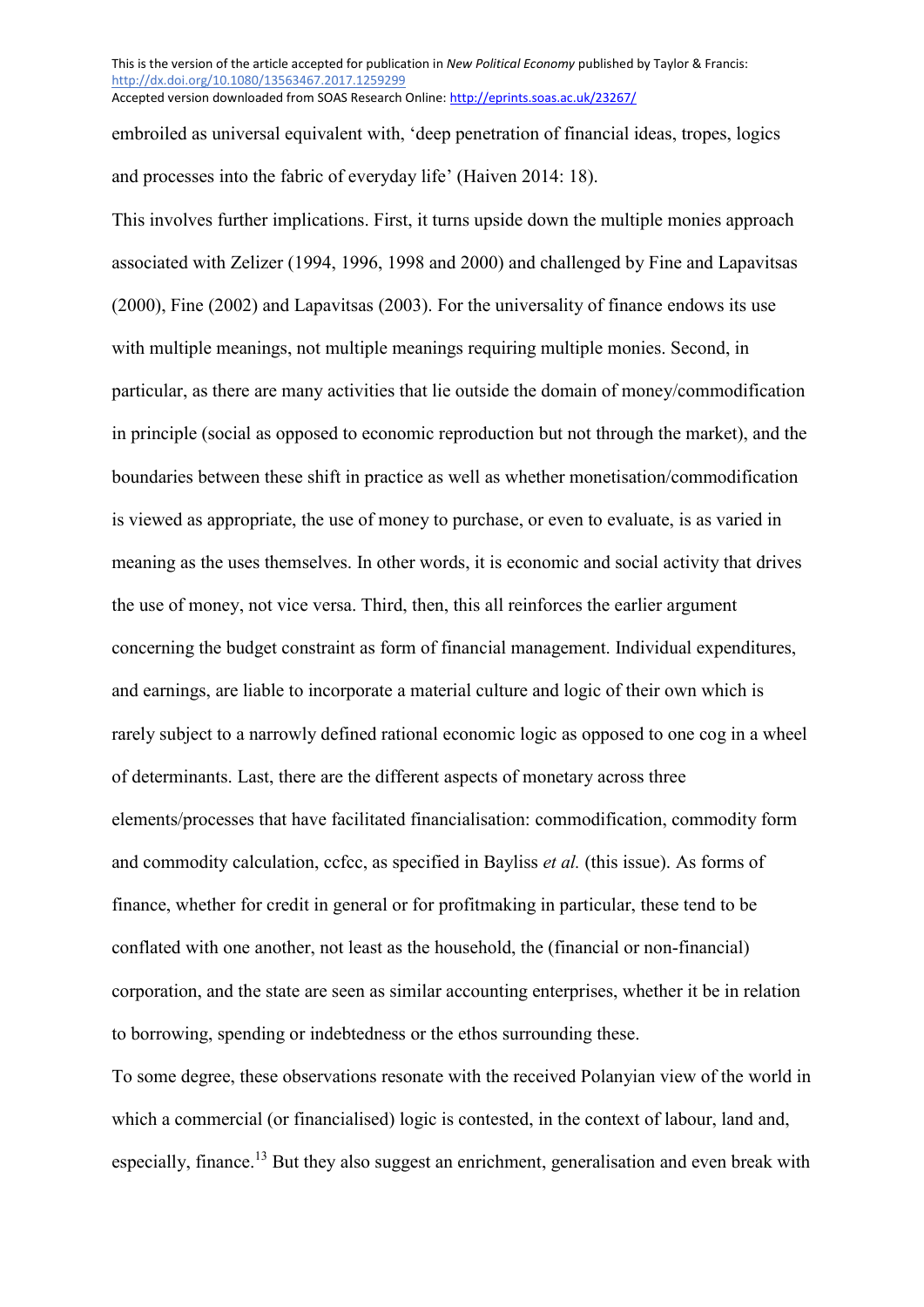embroiled as universal equivalent with, "deep penetration of financial ideas, tropes, logics and processes into the fabric of everyday life" (Haiven 2014: 18).

This involves further implications. First, it turns upside down the multiple monies approach associated with Zelizer (1994, 1996, 1998 and 2000) and challenged by Fine and Lapavitsas (2000), Fine (2002) and Lapavitsas (2003). For the universality of finance endows its use with multiple meanings, not multiple meanings requiring multiple monies. Second, in particular, as there are many activities that lie outside the domain of money/commodification in principle (social as opposed to economic reproduction but not through the market), and the boundaries between these shift in practice as well as whether monetisation/commodification is viewed as appropriate, the use of money to purchase, or even to evaluate, is as varied in meaning as the uses themselves. In other words, it is economic and social activity that drives the use of money, not vice versa. Third, then, this all reinforces the earlier argument concerning the budget constraint as form of financial management. Individual expenditures, and earnings, are liable to incorporate a material culture and logic of their own which is rarely subject to a narrowly defined rational economic logic as opposed to one cog in a wheel of determinants. Last, there are the different aspects of monetary across three elements/processes that have facilitated financialisation: commodification, commodity form and commodity calculation, ccfcc, as specified in Bayliss *et al.* (this issue). As forms of finance, whether for credit in general or for profitmaking in particular, these tend to be conflated with one another, not least as the household, the (financial or non-financial) corporation, and the state are seen as similar accounting enterprises, whether it be in relation to borrowing, spending or indebtedness or the ethos surrounding these.

To some degree, these observations resonate with the received Polanyian view of the world in which a commercial (or financialised) logic is contested, in the context of labour, land and, especially. finance.<sup>13</sup> But they also suggest an enrichment, generalisation and even break with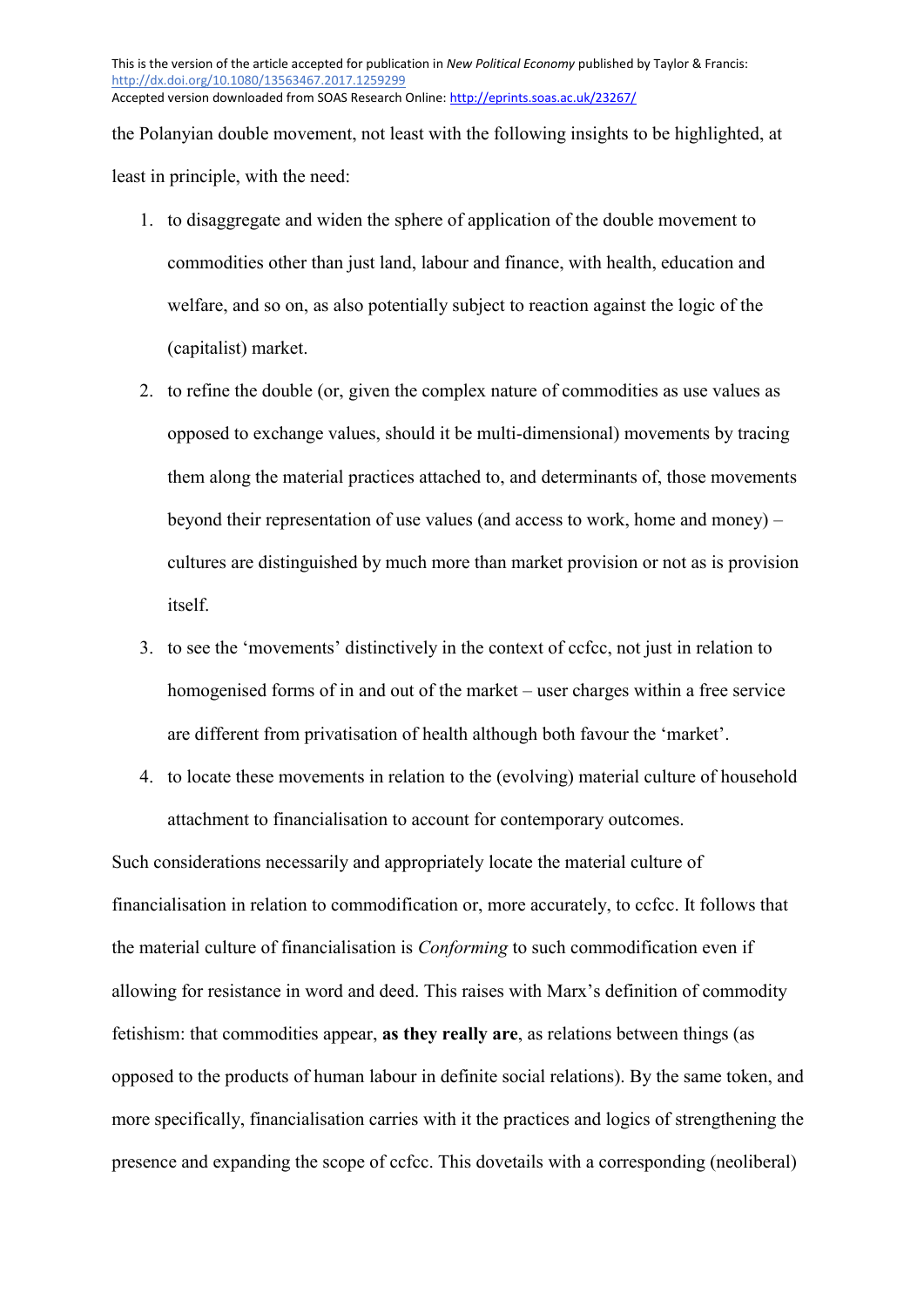the Polanyian double movement, not least with the following insights to be highlighted, at least in principle, with the need:

- 1. to disaggregate and widen the sphere of application of the double movement to commodities other than just land, labour and finance, with health, education and welfare, and so on, as also potentially subject to reaction against the logic of the (capitalist) market.
- 2. to refine the double (or, given the complex nature of commodities as use values as opposed to exchange values, should it be multi-dimensional) movements by tracing them along the material practices attached to, and determinants of, those movements beyond their representation of use values (and access to work, home and money) – cultures are distinguished by much more than market provision or not as is provision itself.
- 3. to see the "movements" distinctively in the context of ccfcc, not just in relation to homogenised forms of in and out of the market – user charges within a free service are different from privatisation of health although both favour the "market".
- 4. to locate these movements in relation to the (evolving) material culture of household attachment to financialisation to account for contemporary outcomes.

Such considerations necessarily and appropriately locate the material culture of financialisation in relation to commodification or, more accurately, to ccfcc. It follows that the material culture of financialisation is *Conforming* to such commodification even if allowing for resistance in word and deed. This raises with Marx"s definition of commodity fetishism: that commodities appear, **as they really are**, as relations between things (as opposed to the products of human labour in definite social relations). By the same token, and more specifically, financialisation carries with it the practices and logics of strengthening the presence and expanding the scope of ccfcc. This dovetails with a corresponding (neoliberal)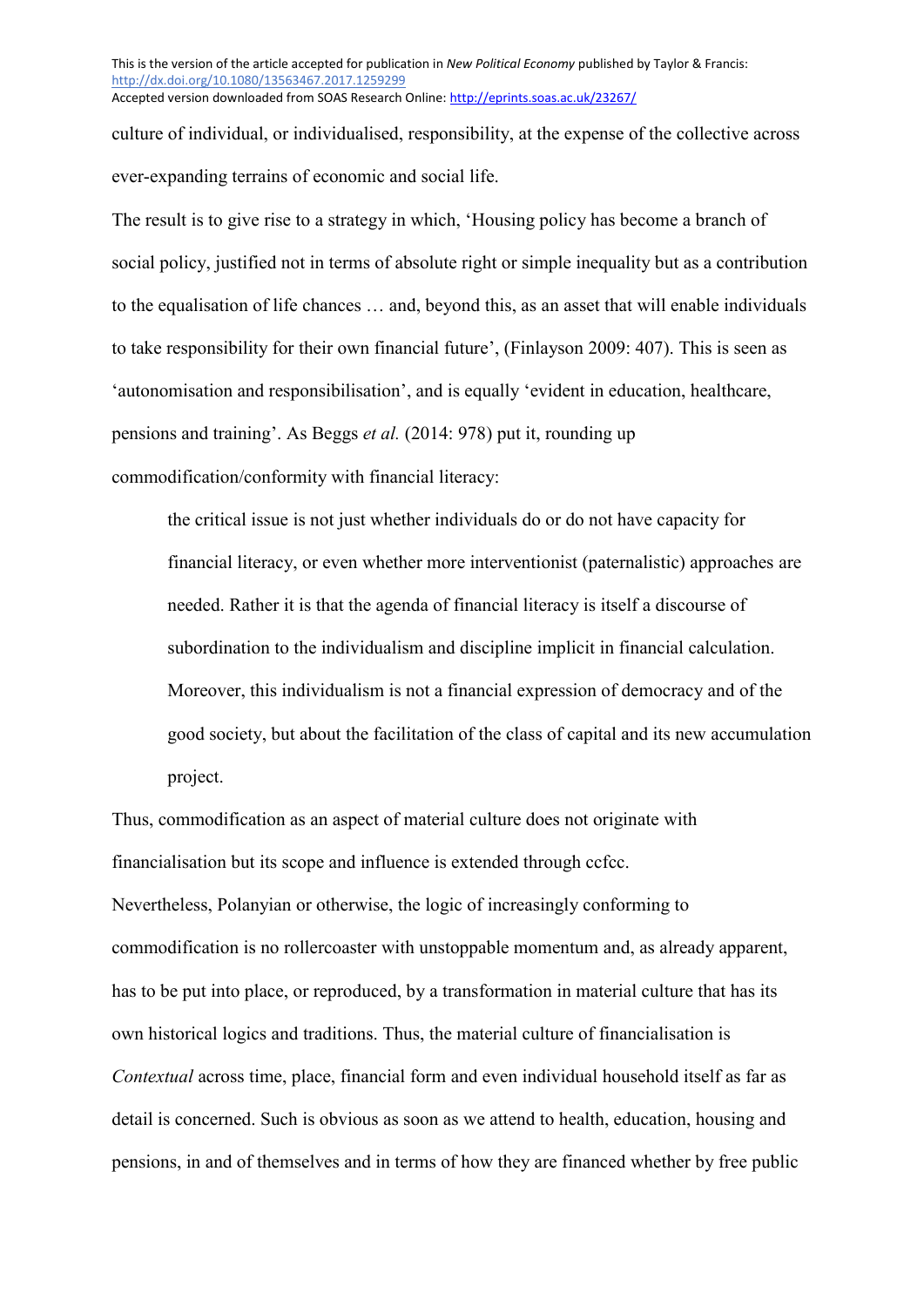culture of individual, or individualised, responsibility, at the expense of the collective across ever-expanding terrains of economic and social life.

The result is to give rise to a strategy in which, "Housing policy has become a branch of social policy, justified not in terms of absolute right or simple inequality but as a contribution to the equalisation of life chances … and, beyond this, as an asset that will enable individuals to take responsibility for their own financial future', (Finlayson 2009: 407). This is seen as "autonomisation and responsibilisation", and is equally "evident in education, healthcare, pensions and training". As Beggs *et al.* (2014: 978) put it, rounding up commodification/conformity with financial literacy:

the critical issue is not just whether individuals do or do not have capacity for financial literacy, or even whether more interventionist (paternalistic) approaches are needed. Rather it is that the agenda of financial literacy is itself a discourse of subordination to the individualism and discipline implicit in financial calculation. Moreover, this individualism is not a financial expression of democracy and of the good society, but about the facilitation of the class of capital and its new accumulation project.

Thus, commodification as an aspect of material culture does not originate with financialisation but its scope and influence is extended through ccfcc. Nevertheless, Polanyian or otherwise, the logic of increasingly conforming to commodification is no rollercoaster with unstoppable momentum and, as already apparent, has to be put into place, or reproduced, by a transformation in material culture that has its own historical logics and traditions. Thus, the material culture of financialisation is *Contextual* across time, place, financial form and even individual household itself as far as detail is concerned. Such is obvious as soon as we attend to health, education, housing and pensions, in and of themselves and in terms of how they are financed whether by free public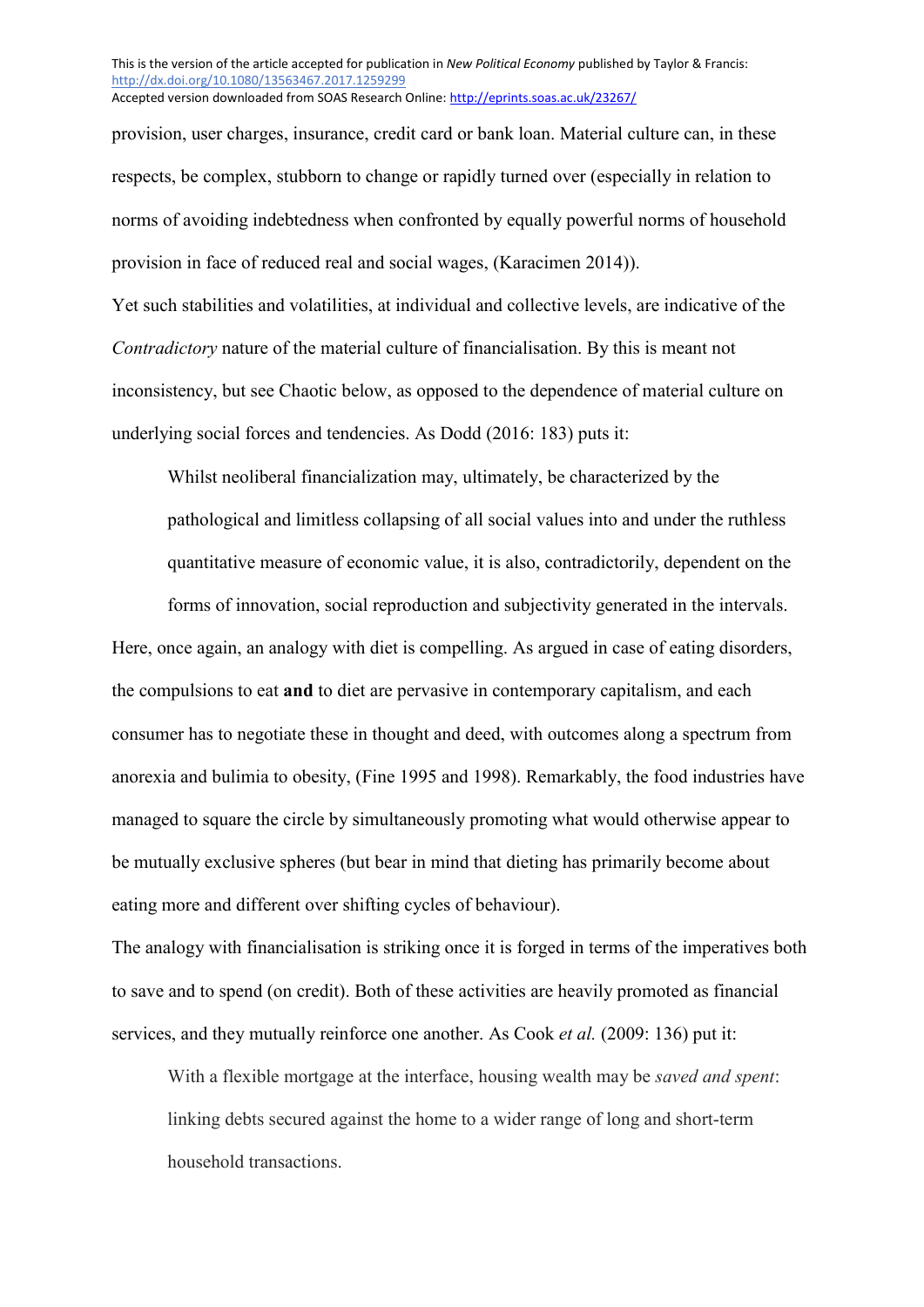provision, user charges, insurance, credit card or bank loan. Material culture can, in these respects, be complex, stubborn to change or rapidly turned over (especially in relation to norms of avoiding indebtedness when confronted by equally powerful norms of household provision in face of reduced real and social wages, (Karacimen 2014)).

Yet such stabilities and volatilities, at individual and collective levels, are indicative of the *Contradictory* nature of the material culture of financialisation. By this is meant not inconsistency, but see Chaotic below, as opposed to the dependence of material culture on underlying social forces and tendencies. As Dodd (2016: 183) puts it:

Whilst neoliberal financialization may, ultimately, be characterized by the pathological and limitless collapsing of all social values into and under the ruthless quantitative measure of economic value, it is also, contradictorily, dependent on the

forms of innovation, social reproduction and subjectivity generated in the intervals. Here, once again, an analogy with diet is compelling. As argued in case of eating disorders, the compulsions to eat **and** to diet are pervasive in contemporary capitalism, and each consumer has to negotiate these in thought and deed, with outcomes along a spectrum from anorexia and bulimia to obesity, (Fine 1995 and 1998). Remarkably, the food industries have managed to square the circle by simultaneously promoting what would otherwise appear to be mutually exclusive spheres (but bear in mind that dieting has primarily become about eating more and different over shifting cycles of behaviour).

The analogy with financialisation is striking once it is forged in terms of the imperatives both to save and to spend (on credit). Both of these activities are heavily promoted as financial services, and they mutually reinforce one another. As Cook *et al.* (2009: 136) put it:

With a flexible mortgage at the interface, housing wealth may be *saved and spent*: linking debts secured against the home to a wider range of long and short-term household transactions.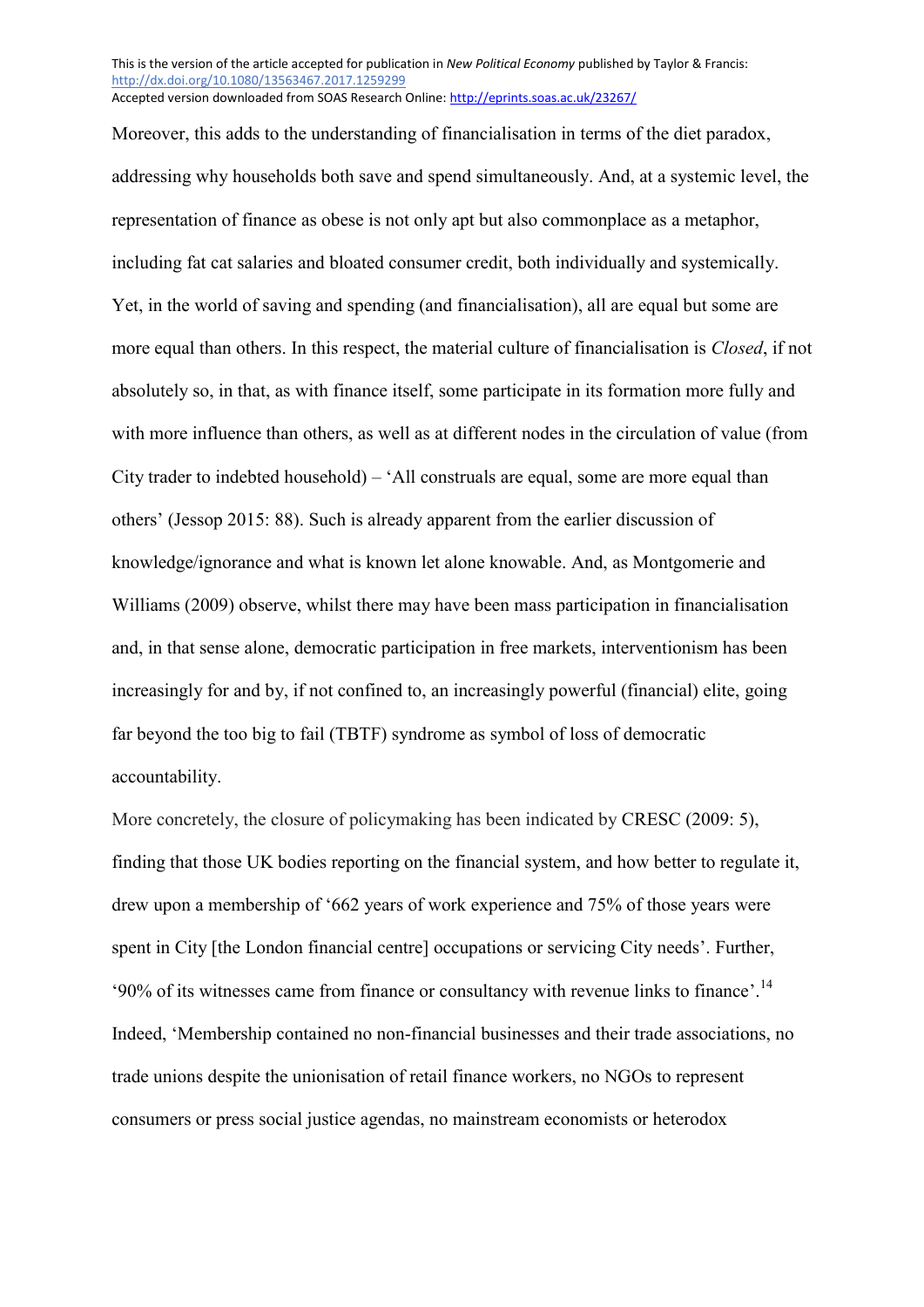Moreover, this adds to the understanding of financialisation in terms of the diet paradox, addressing why households both save and spend simultaneously. And, at a systemic level, the representation of finance as obese is not only apt but also commonplace as a metaphor, including fat cat salaries and bloated consumer credit, both individually and systemically. Yet, in the world of saving and spending (and financialisation), all are equal but some are more equal than others. In this respect, the material culture of financialisation is *Closed*, if not absolutely so, in that, as with finance itself, some participate in its formation more fully and with more influence than others, as well as at different nodes in the circulation of value (from City trader to indebted household) – "All construals are equal, some are more equal than others" (Jessop 2015: 88). Such is already apparent from the earlier discussion of knowledge/ignorance and what is known let alone knowable. And, as Montgomerie and Williams (2009) observe, whilst there may have been mass participation in financialisation and, in that sense alone, democratic participation in free markets, interventionism has been increasingly for and by, if not confined to, an increasingly powerful (financial) elite, going far beyond the too big to fail (TBTF) syndrome as symbol of loss of democratic accountability.

More concretely, the closure of policymaking has been indicated by CRESC (2009: 5), finding that those UK bodies reporting on the financial system, and how better to regulate it, drew upon a membership of "662 years of work experience and 75% of those years were spent in City [the London financial centre] occupations or servicing City needs'. Further, '90% of its witnesses came from finance or consultancy with revenue links to finance'.<sup>14</sup> Indeed, "Membership contained no non-financial businesses and their trade associations, no trade unions despite the unionisation of retail finance workers, no NGOs to represent consumers or press social justice agendas, no mainstream economists or heterodox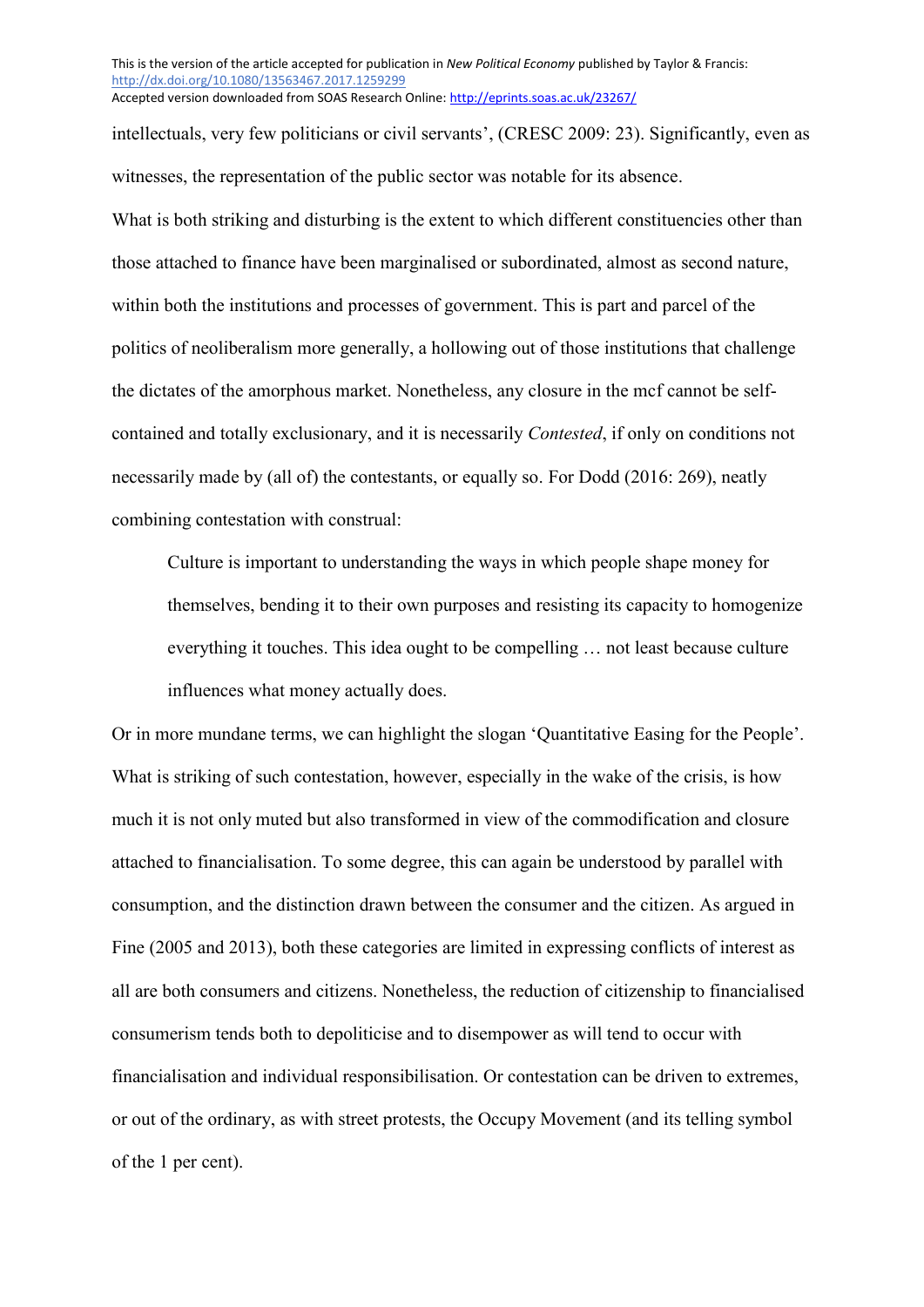intellectuals, very few politicians or civil servants", (CRESC 2009: 23). Significantly, even as witnesses, the representation of the public sector was notable for its absence.

What is both striking and disturbing is the extent to which different constituencies other than those attached to finance have been marginalised or subordinated, almost as second nature, within both the institutions and processes of government. This is part and parcel of the politics of neoliberalism more generally, a hollowing out of those institutions that challenge the dictates of the amorphous market. Nonetheless, any closure in the mcf cannot be selfcontained and totally exclusionary, and it is necessarily *Contested*, if only on conditions not necessarily made by (all of) the contestants, or equally so. For Dodd (2016: 269), neatly combining contestation with construal:

Culture is important to understanding the ways in which people shape money for themselves, bending it to their own purposes and resisting its capacity to homogenize everything it touches. This idea ought to be compelling … not least because culture influences what money actually does.

Or in more mundane terms, we can highlight the slogan "Quantitative Easing for the People". What is striking of such contestation, however, especially in the wake of the crisis, is how much it is not only muted but also transformed in view of the commodification and closure attached to financialisation. To some degree, this can again be understood by parallel with consumption, and the distinction drawn between the consumer and the citizen. As argued in Fine (2005 and 2013), both these categories are limited in expressing conflicts of interest as all are both consumers and citizens. Nonetheless, the reduction of citizenship to financialised consumerism tends both to depoliticise and to disempower as will tend to occur with financialisation and individual responsibilisation. Or contestation can be driven to extremes, or out of the ordinary, as with street protests, the Occupy Movement (and its telling symbol of the 1 per cent).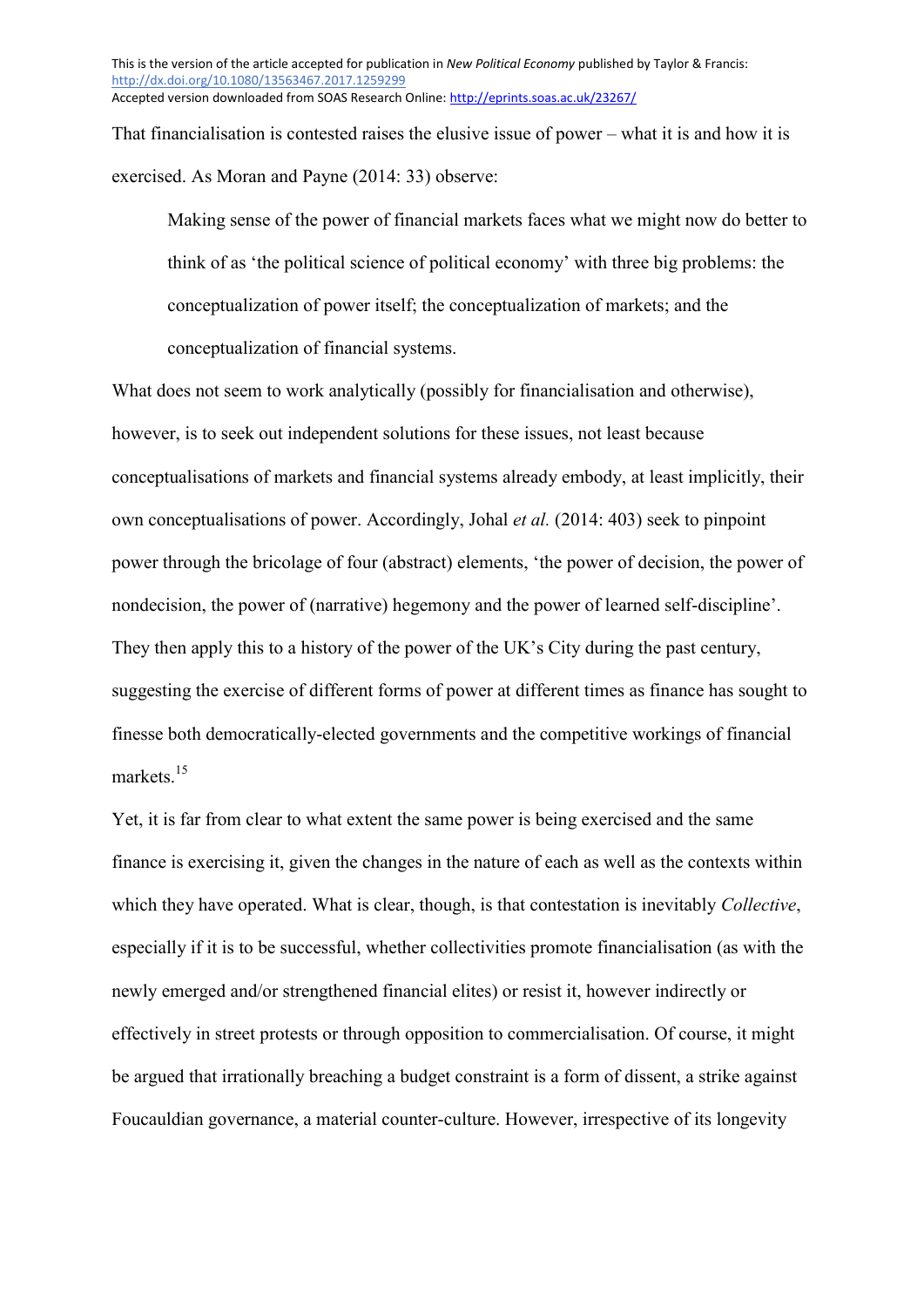That financialisation is contested raises the elusive issue of power – what it is and how it is exercised. As Moran and Payne (2014: 33) observe:

Making sense of the power of financial markets faces what we might now do better to think of as "the political science of political economy" with three big problems: the conceptualization of power itself; the conceptualization of markets; and the conceptualization of financial systems.

What does not seem to work analytically (possibly for financialisation and otherwise), however, is to seek out independent solutions for these issues, not least because conceptualisations of markets and financial systems already embody, at least implicitly, their own conceptualisations of power. Accordingly, Johal *et al.* (2014: 403) seek to pinpoint power through the bricolage of four (abstract) elements, "the power of decision, the power of nondecision, the power of (narrative) hegemony and the power of learned self-discipline". They then apply this to a history of the power of the UK"s City during the past century, suggesting the exercise of different forms of power at different times as finance has sought to finesse both democratically-elected governments and the competitive workings of financial markets.<sup>15</sup>

Yet, it is far from clear to what extent the same power is being exercised and the same finance is exercising it, given the changes in the nature of each as well as the contexts within which they have operated. What is clear, though, is that contestation is inevitably *Collective*, especially if it is to be successful, whether collectivities promote financialisation (as with the newly emerged and/or strengthened financial elites) or resist it, however indirectly or effectively in street protests or through opposition to commercialisation. Of course, it might be argued that irrationally breaching a budget constraint is a form of dissent, a strike against Foucauldian governance, a material counter-culture. However, irrespective of its longevity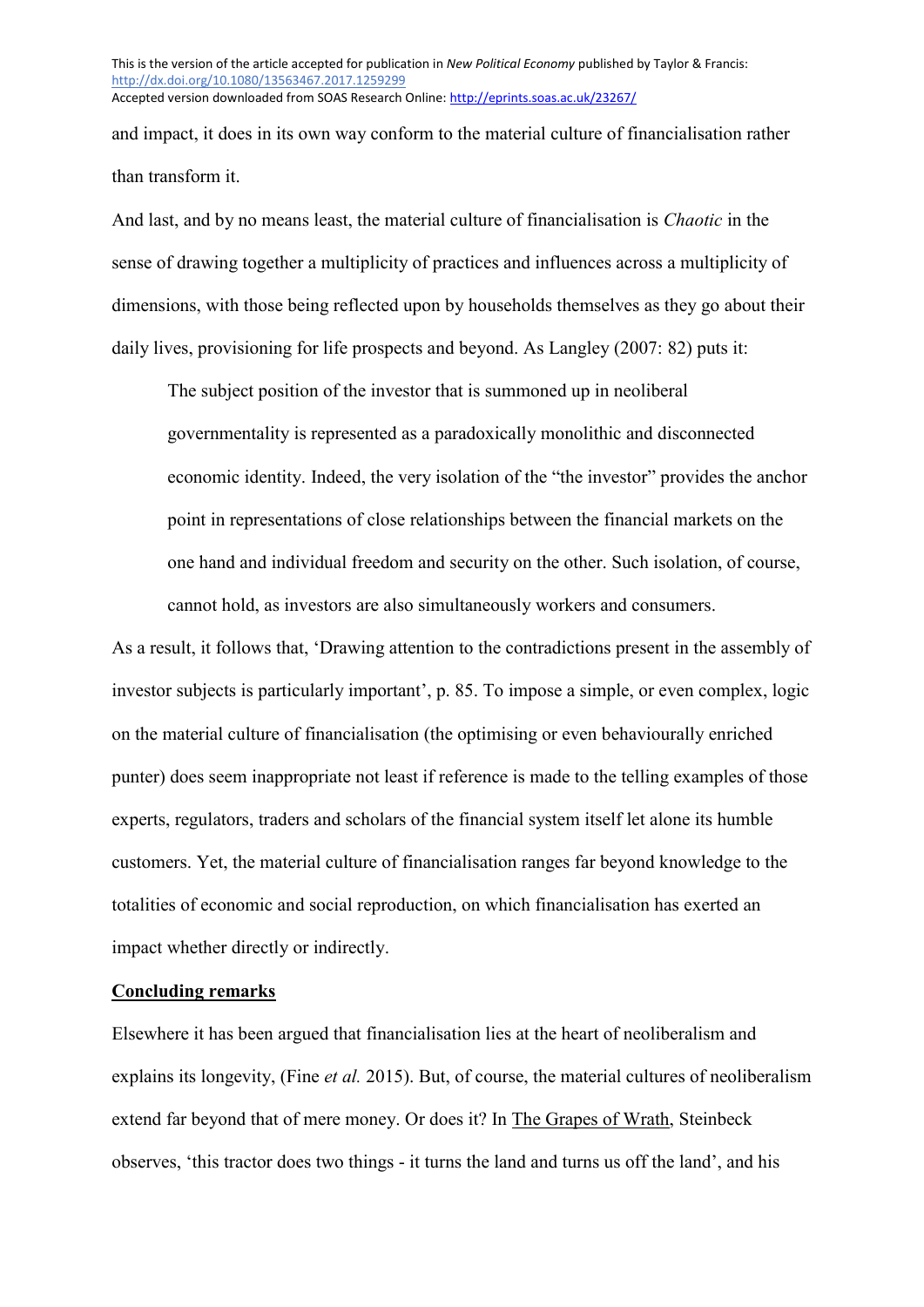and impact, it does in its own way conform to the material culture of financialisation rather than transform it.

And last, and by no means least, the material culture of financialisation is *Chaotic* in the sense of drawing together a multiplicity of practices and influences across a multiplicity of dimensions, with those being reflected upon by households themselves as they go about their daily lives, provisioning for life prospects and beyond. As Langley (2007: 82) puts it:

The subject position of the investor that is summoned up in neoliberal governmentality is represented as a paradoxically monolithic and disconnected economic identity. Indeed, the very isolation of the "the investor" provides the anchor point in representations of close relationships between the financial markets on the one hand and individual freedom and security on the other. Such isolation, of course, cannot hold, as investors are also simultaneously workers and consumers.

As a result, it follows that, "Drawing attention to the contradictions present in the assembly of investor subjects is particularly important', p. 85. To impose a simple, or even complex, logic on the material culture of financialisation (the optimising or even behaviourally enriched punter) does seem inappropriate not least if reference is made to the telling examples of those experts, regulators, traders and scholars of the financial system itself let alone its humble customers. Yet, the material culture of financialisation ranges far beyond knowledge to the totalities of economic and social reproduction, on which financialisation has exerted an impact whether directly or indirectly.

### **Concluding remarks**

Elsewhere it has been argued that financialisation lies at the heart of neoliberalism and explains its longevity, (Fine *et al.* 2015). But, of course, the material cultures of neoliberalism extend far beyond that of mere money. Or does it? In The Grapes of Wrath, Steinbeck observes, "this tractor does two things - it turns the land and turns us off the land", and his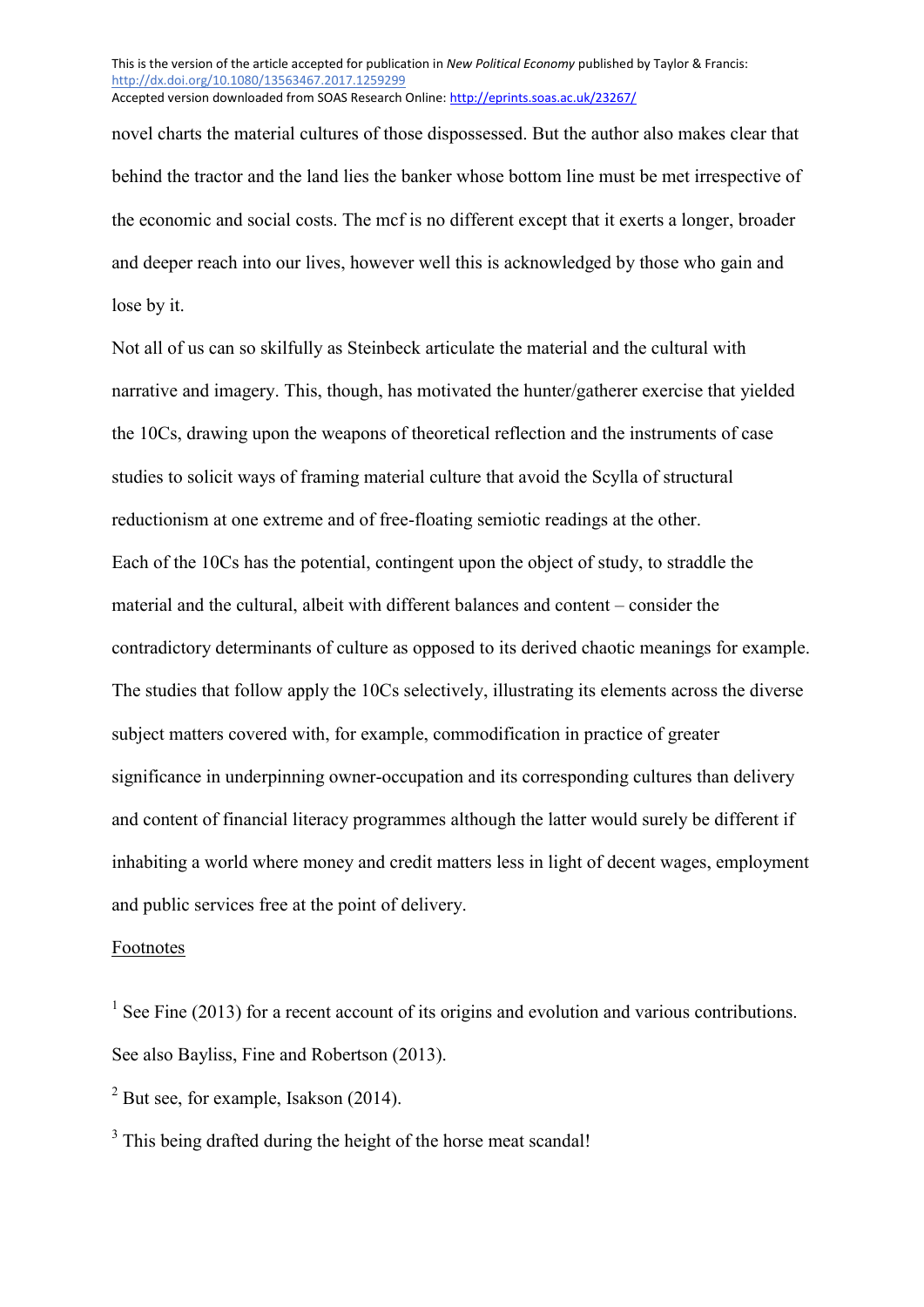novel charts the material cultures of those dispossessed. But the author also makes clear that behind the tractor and the land lies the banker whose bottom line must be met irrespective of the economic and social costs. The mcf is no different except that it exerts a longer, broader and deeper reach into our lives, however well this is acknowledged by those who gain and lose by it.

Not all of us can so skilfully as Steinbeck articulate the material and the cultural with narrative and imagery. This, though, has motivated the hunter/gatherer exercise that yielded the 10Cs, drawing upon the weapons of theoretical reflection and the instruments of case studies to solicit ways of framing material culture that avoid the Scylla of structural reductionism at one extreme and of free-floating semiotic readings at the other. Each of the 10Cs has the potential, contingent upon the object of study, to straddle the material and the cultural, albeit with different balances and content – consider the contradictory determinants of culture as opposed to its derived chaotic meanings for example. The studies that follow apply the 10Cs selectively, illustrating its elements across the diverse subject matters covered with, for example, commodification in practice of greater significance in underpinning owner-occupation and its corresponding cultures than delivery and content of financial literacy programmes although the latter would surely be different if inhabiting a world where money and credit matters less in light of decent wages, employment and public services free at the point of delivery.

## Footnotes

<sup>1</sup> See Fine (2013) for a recent account of its origins and evolution and various contributions. See also Bayliss, Fine and Robertson (2013).

 $2$  But see, for example, Isakson (2014).

 $3$  This being drafted during the height of the horse meat scandal!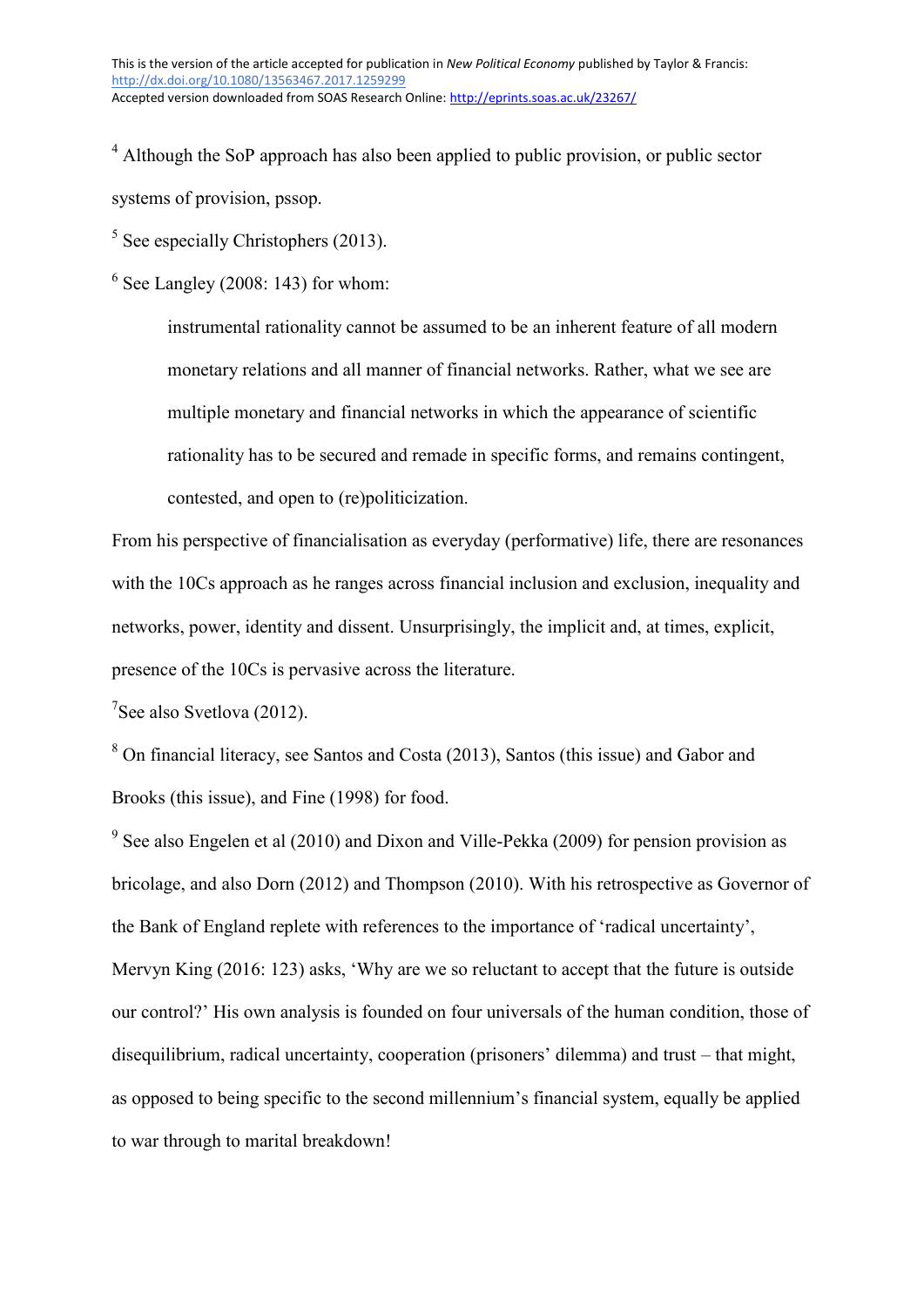<sup>4</sup> Although the SoP approach has also been applied to public provision, or public sector systems of provision, pssop.

 $<sup>5</sup>$  See especially Christophers (2013).</sup>

 $6$  See Langley (2008: 143) for whom:

instrumental rationality cannot be assumed to be an inherent feature of all modern monetary relations and all manner of financial networks. Rather, what we see are multiple monetary and financial networks in which the appearance of scientific rationality has to be secured and remade in specific forms, and remains contingent, contested, and open to (re)politicization.

From his perspective of financialisation as everyday (performative) life, there are resonances with the 10Cs approach as he ranges across financial inclusion and exclusion, inequality and networks, power, identity and dissent. Unsurprisingly, the implicit and, at times, explicit, presence of the 10Cs is pervasive across the literature.

 $7$ See also Svetlova (2012).

<sup>8</sup> On financial literacy, see Santos and Costa (2013), Santos (this issue) and Gabor and Brooks (this issue), and Fine (1998) for food.

<sup>9</sup> See also Engelen et al (2010) and Dixon and Ville-Pekka (2009) for pension provision as bricolage, and also Dorn (2012) and Thompson (2010). With his retrospective as Governor of the Bank of England replete with references to the importance of "radical uncertainty", Mervyn King (2016: 123) asks, "Why are we so reluctant to accept that the future is outside our control?" His own analysis is founded on four universals of the human condition, those of disequilibrium, radical uncertainty, cooperation (prisoners' dilemma) and trust – that might, as opposed to being specific to the second millennium"s financial system, equally be applied to war through to marital breakdown!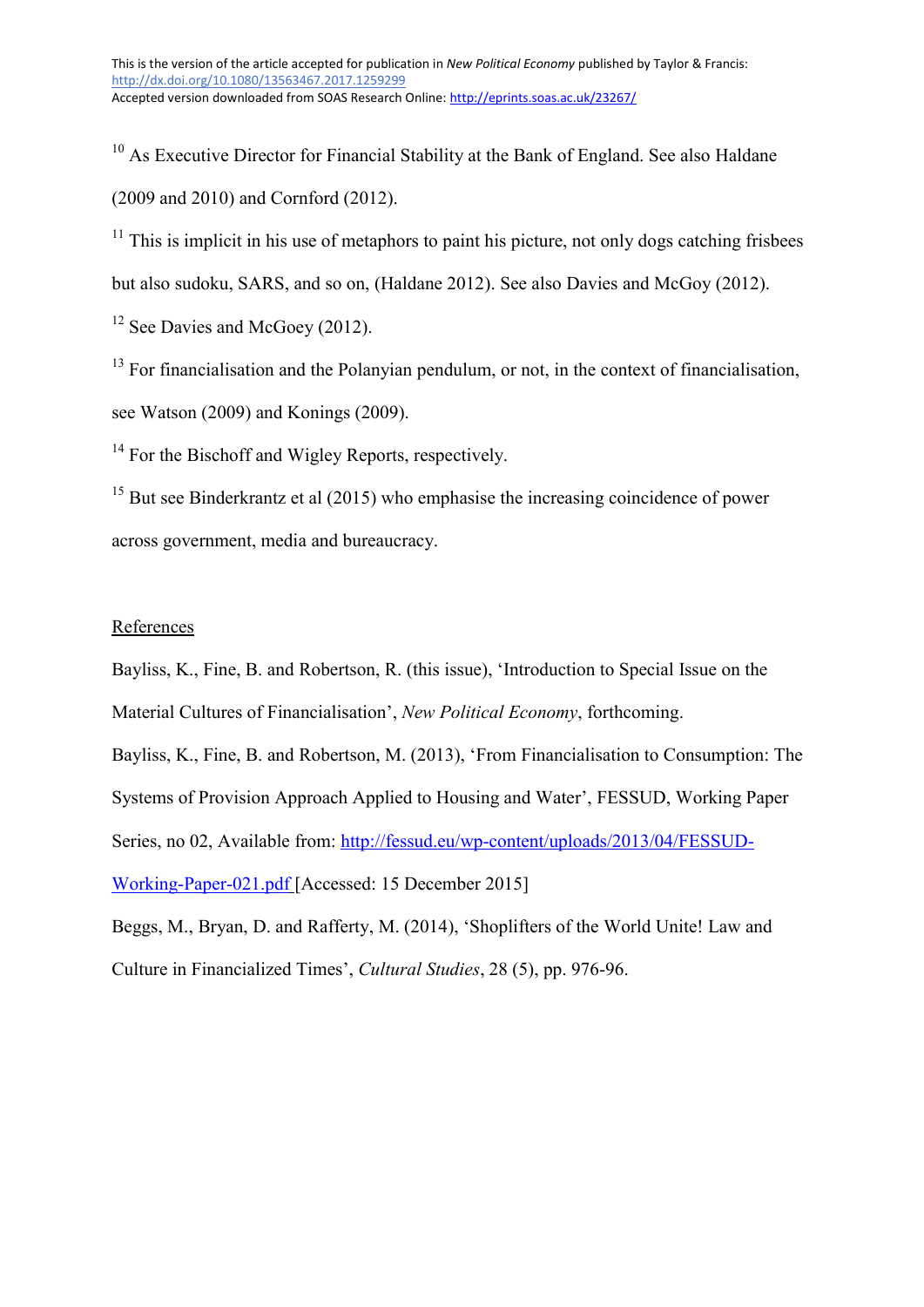$10$  As Executive Director for Financial Stability at the Bank of England. See also Haldane (2009 and 2010) and Cornford (2012).

 $11$  This is implicit in his use of metaphors to paint his picture, not only dogs catching frisbees but also sudoku, SARS, and so on, (Haldane 2012). See also Davies and McGoy (2012).

 $12$  See Davies and McGoey (2012).

 $13$  For financialisation and the Polanvian pendulum, or not, in the context of financialisation, see Watson (2009) and Konings (2009).

<sup>14</sup> For the Bischoff and Wigley Reports, respectively.

 $15$  But see Binderkrantz et al (2015) who emphasise the increasing coincidence of power across government, media and bureaucracy.

# References

Bayliss, K., Fine, B. and Robertson, R. (this issue), "Introduction to Special Issue on the Material Cultures of Financialisation", *New Political Economy*, forthcoming.

Bayliss, K., Fine, B. and Robertson, M. (2013), "From Financialisation to Consumption: The

Systems of Provision Approach Applied to Housing and Water", FESSUD, Working Paper

Series, no 02, Available from: [http://fessud.eu/wp-content/uploads/2013/04/FESSUD-](http://fessud.eu/wp-content/uploads/2013/04/FESSUD-Working-Paper-021.pdf)

[Working-Paper-021.pdf](http://fessud.eu/wp-content/uploads/2013/04/FESSUD-Working-Paper-021.pdf) [Accessed: 15 December 2015]

Beggs, M., Bryan, D. and Rafferty, M. (2014), "Shoplifters of the World Unite! Law and Culture in Financialized Times", *Cultural Studies*, 28 (5), pp. 976-96.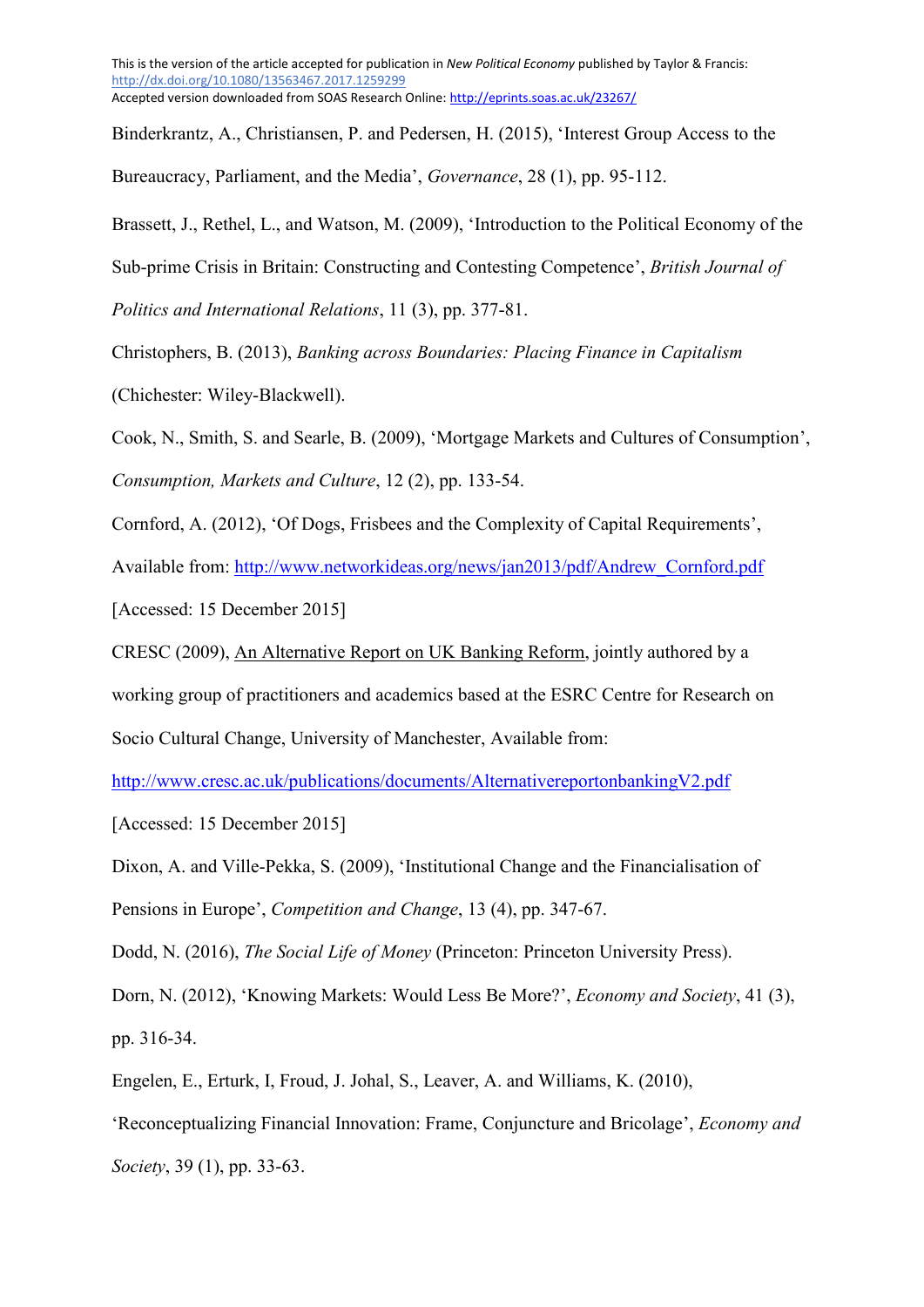Binderkrantz, A., Christiansen, P. and Pedersen, H. (2015), "Interest Group Access to the Bureaucracy, Parliament, and the Media", *Governance*, 28 (1), pp. 95-112.

Brassett, J., Rethel, L., and Watson, M. (2009), "Introduction to the Political Economy of the Sub-prime Crisis in Britain: Constructing and Contesting Competence", *British Journal of Politics and International Relations*, 11 (3), pp. 377-81.

Christophers, B. (2013), *Banking across Boundaries: Placing Finance in Capitalism*

(Chichester: Wiley-Blackwell).

Cook, N., Smith, S. and Searle, B. (2009), "Mortgage Markets and Cultures of Consumption", *Consumption, Markets and Culture*, 12 (2), pp. 133-54.

Cornford, A. (2012), "Of Dogs, Frisbees and the Complexity of Capital Requirements",

Available from: [http://www.networkideas.org/news/jan2013/pdf/Andrew\\_Cornford.pdf](http://www.networkideas.org/news/jan2013/pdf/Andrew_Cornford.pdf)

[Accessed: 15 December 2015]

CRESC (2009), An Alternative Report on UK Banking Reform, jointly authored by a working group of practitioners and academics based at the ESRC Centre for Research on Socio Cultural Change, University of Manchester, Available from:

<http://www.cresc.ac.uk/publications/documents/AlternativereportonbankingV2.pdf>

[Accessed: 15 December 2015]

Dixon, A. and Ville-Pekka, S. (2009), "Institutional Change and the Financialisation of Pensions in Europe", *Competition and Change*, 13 (4), pp. 347-67.

Dodd, N. (2016), *The Social Life of Money* (Princeton: Princeton University Press).

Dorn, N. (2012), "Knowing Markets: Would Less Be More?", *Economy and Society*, 41 (3), pp. 316-34.

Engelen, E., Erturk, I, Froud, J. Johal, S., Leaver, A. and Williams, K. (2010),

"Reconceptualizing Financial Innovation: Frame, Conjuncture and Bricolage", *Economy and Society*, 39 (1), pp. 33-63.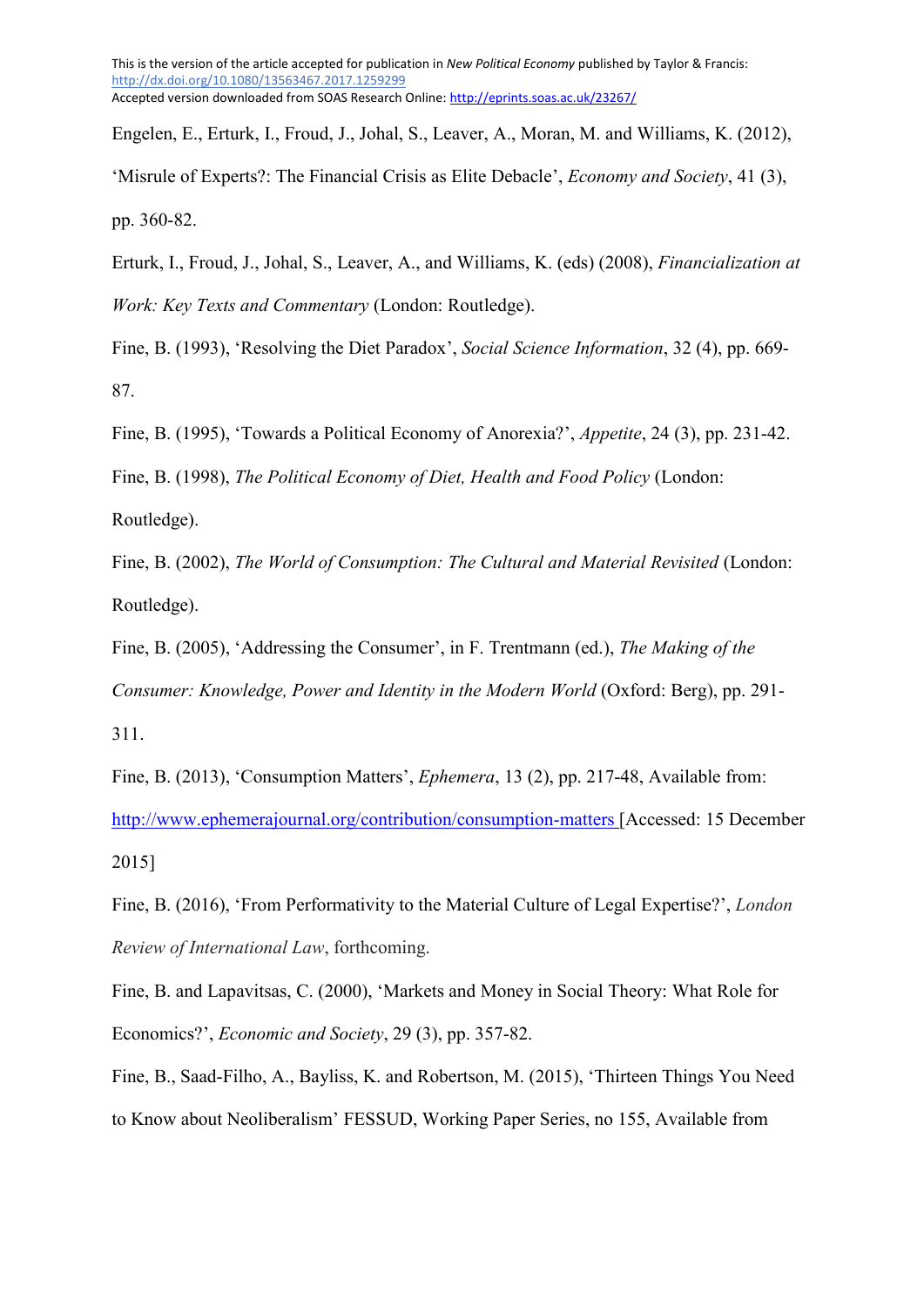Engelen, E., Erturk, I., Froud, J., Johal, S., Leaver, A., Moran, M. and Williams, K. (2012), "Misrule of Experts?: The Financial Crisis as Elite Debacle", *Economy and Society*, 41 (3), pp. 360-82.

Erturk, I., Froud, J., Johal, S., Leaver, A., and Williams, K. (eds) (2008), *Financialization at Work: Key Texts and Commentary* (London: Routledge).

Fine, B. (1993), "Resolving the Diet Paradox", *Social Science Information*, 32 (4), pp. 669- 87.

Fine, B. (1995), "Towards a Political Economy of Anorexia?", *Appetite*, 24 (3), pp. 231-42.

Fine, B. (1998), *The Political Economy of Diet, Health and Food Policy* (London:

Routledge).

Fine, B. (2002), *The World of Consumption: The Cultural and Material Revisited* (London: Routledge).

Fine, B. (2005), "Addressing the Consumer", in F. Trentmann (ed.), *The Making of the Consumer: Knowledge, Power and Identity in the Modern World* (Oxford: Berg), pp. 291- 311.

Fine, B. (2013), 'Consumption Matters', *Ephemera*, 13 (2), pp. 217-48, Available from: <http://www.ephemerajournal.org/contribution/consumption-matters> [Accessed: 15 December 2015]

Fine, B. (2016), "From Performativity to the Material Culture of Legal Expertise?", *London Review of International Law*, forthcoming.

Fine, B. and Lapavitsas, C. (2000), "Markets and Money in Social Theory: What Role for Economics?", *Economic and Society*, 29 (3), pp. 357-82.

Fine, B., Saad-Filho, A., Bayliss, K. and Robertson, M. (2015), "Thirteen Things You Need to Know about Neoliberalism" FESSUD, Working Paper Series, no 155, Available from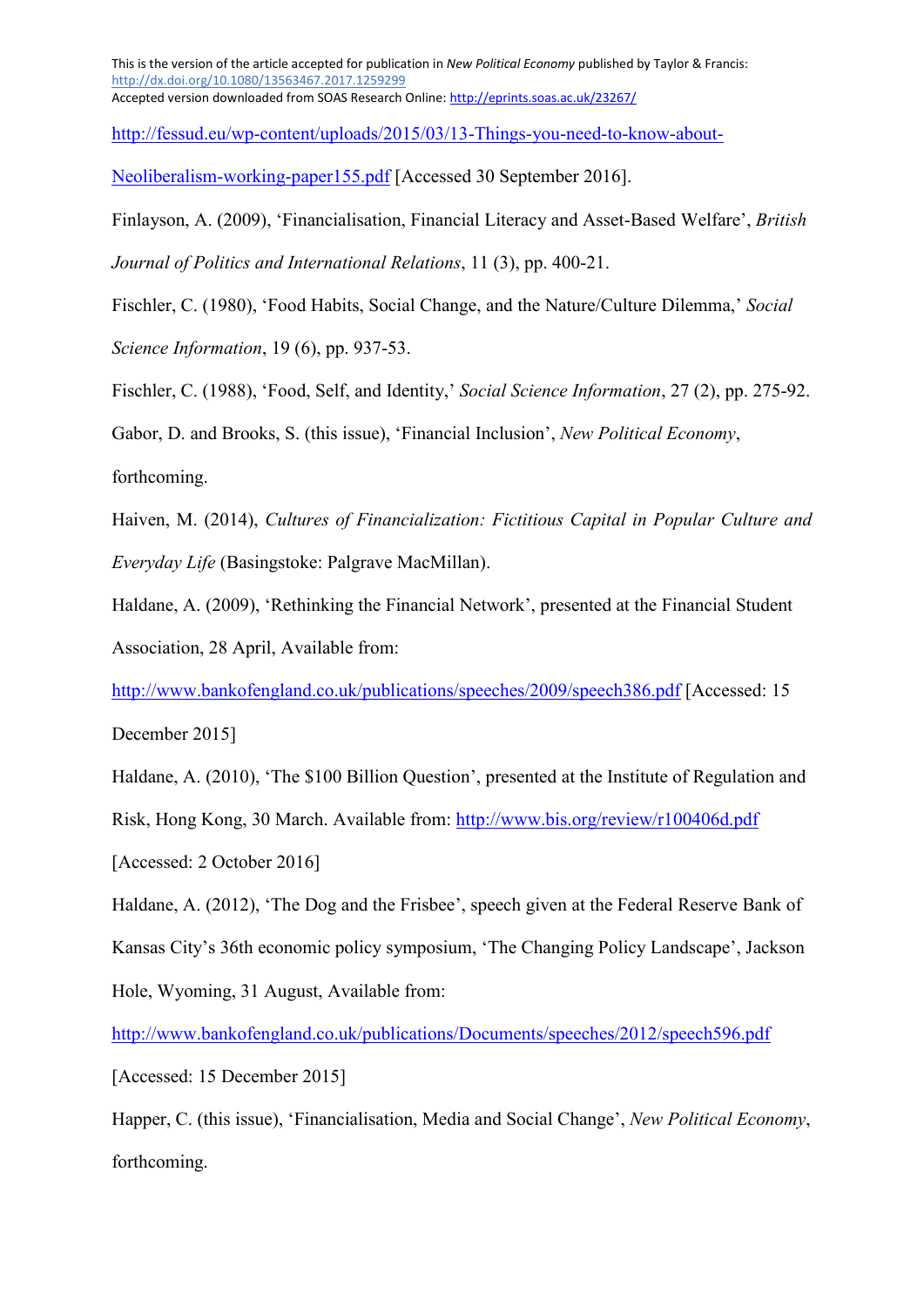[http://fessud.eu/wp-content/uploads/2015/03/13-Things-you-need-to-know-about-](http://fessud.eu/wp-content/uploads/2015/03/13-Things-you-need-to-know-about-Neoliberalism-working-paper155.pdf)

[Neoliberalism-working-paper155.pdf](http://fessud.eu/wp-content/uploads/2015/03/13-Things-you-need-to-know-about-Neoliberalism-working-paper155.pdf) [Accessed 30 September 2016].

Finlayson, A. (2009), "Financialisation, Financial Literacy and Asset-Based Welfare", *British Journal of Politics and International Relations*, 11 (3), pp. 400-21.

Fischler, C. (1980), "Food Habits, Social Change, and the Nature/Culture Dilemma," *Social Science Information*, 19 (6), pp. 937-53.

Fischler, C. (1988), "Food, Self, and Identity," *Social Science Information*, 27 (2), pp. 275-92.

Gabor, D. and Brooks, S. (this issue), "Financial Inclusion", *New Political Economy*,

forthcoming.

Haiven, M. (2014), *Cultures of Financialization: Fictitious Capital in Popular Culture and Everyday Life* (Basingstoke: Palgrave MacMillan).

Haldane, A. (2009), "Rethinking the Financial Network", presented at the Financial Student Association, 28 April, Available from:

<http://www.bankofengland.co.uk/publications/speeches/2009/speech386.pdf> [Accessed: 15

December 2015]

Haldane, A. (2010), 'The \$100 Billion Question', presented at the Institute of Regulation and Risk, Hong Kong, 30 March. Available from: <http://www.bis.org/review/r100406d.pdf>

[Accessed: 2 October 2016]

Haldane, A. (2012), 'The Dog and the Frisbee', speech given at the Federal Reserve Bank of Kansas City"s 36th economic policy symposium, "The Changing Policy Landscape", Jackson Hole, Wyoming, 31 August, Available from:

<http://www.bankofengland.co.uk/publications/Documents/speeches/2012/speech596.pdf>

[Accessed: 15 December 2015]

Happer, C. (this issue), "Financialisation, Media and Social Change", *New Political Economy*, forthcoming.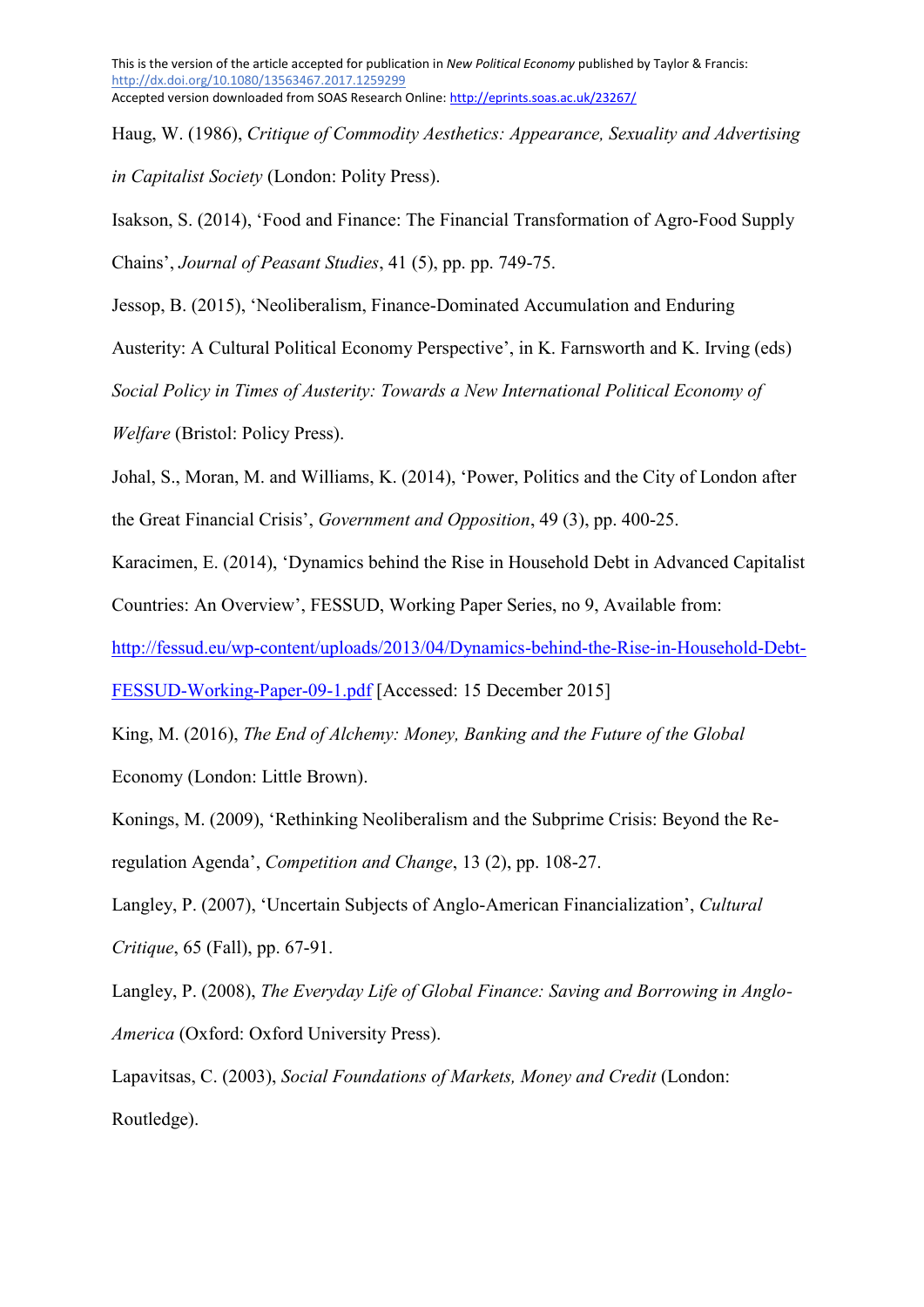Haug, W. (1986), *Critique of Commodity Aesthetics: Appearance, Sexuality and Advertising in Capitalist Society* (London: Polity Press).

Isakson, S. (2014), "Food and Finance: The Financial Transformation of Agro-Food Supply Chains", *Journal of Peasant Studies*, 41 (5), pp. pp. 749-75.

Jessop, B. (2015), "Neoliberalism, Finance-Dominated Accumulation and Enduring

Austerity: A Cultural Political Economy Perspective', in K. Farnsworth and K. Irving (eds)

*Social Policy in Times of Austerity: Towards a New International Political Economy of* 

*Welfare* (Bristol: Policy Press).

Johal, S., Moran, M. and Williams, K. (2014), "Power, Politics and the City of London after the Great Financial Crisis", *Government and Opposition*, 49 (3), pp. 400-25.

Karacimen, E. (2014), "Dynamics behind the Rise in Household Debt in Advanced Capitalist

Countries: An Overview", FESSUD, Working Paper Series, no 9, Available from:

[http://fessud.eu/wp-content/uploads/2013/04/Dynamics-behind-the-Rise-in-Household-Debt-](http://fessud.eu/wp-content/uploads/2013/04/Dynamics-behind-the-Rise-in-Household-Debt-FESSUD-Working-Paper-09-1.pdf)

[FESSUD-Working-Paper-09-1.pdf](http://fessud.eu/wp-content/uploads/2013/04/Dynamics-behind-the-Rise-in-Household-Debt-FESSUD-Working-Paper-09-1.pdf) [Accessed: 15 December 2015]

King, M. (2016), *The End of Alchemy: Money, Banking and the Future of the Global*  Economy (London: Little Brown).

Konings, M. (2009), "Rethinking Neoliberalism and the Subprime Crisis: Beyond the Reregulation Agenda", *Competition and Change*, 13 (2), pp. 108-27.

Langley, P. (2007), "Uncertain Subjects of Anglo-American Financialization", *Cultural Critique*, 65 (Fall), pp. 67-91.

Langley, P. (2008), *The Everyday Life of Global Finance: Saving and Borrowing in Anglo-America* (Oxford: Oxford University Press).

Lapavitsas, C. (2003), *Social Foundations of Markets, Money and Credit* (London: Routledge).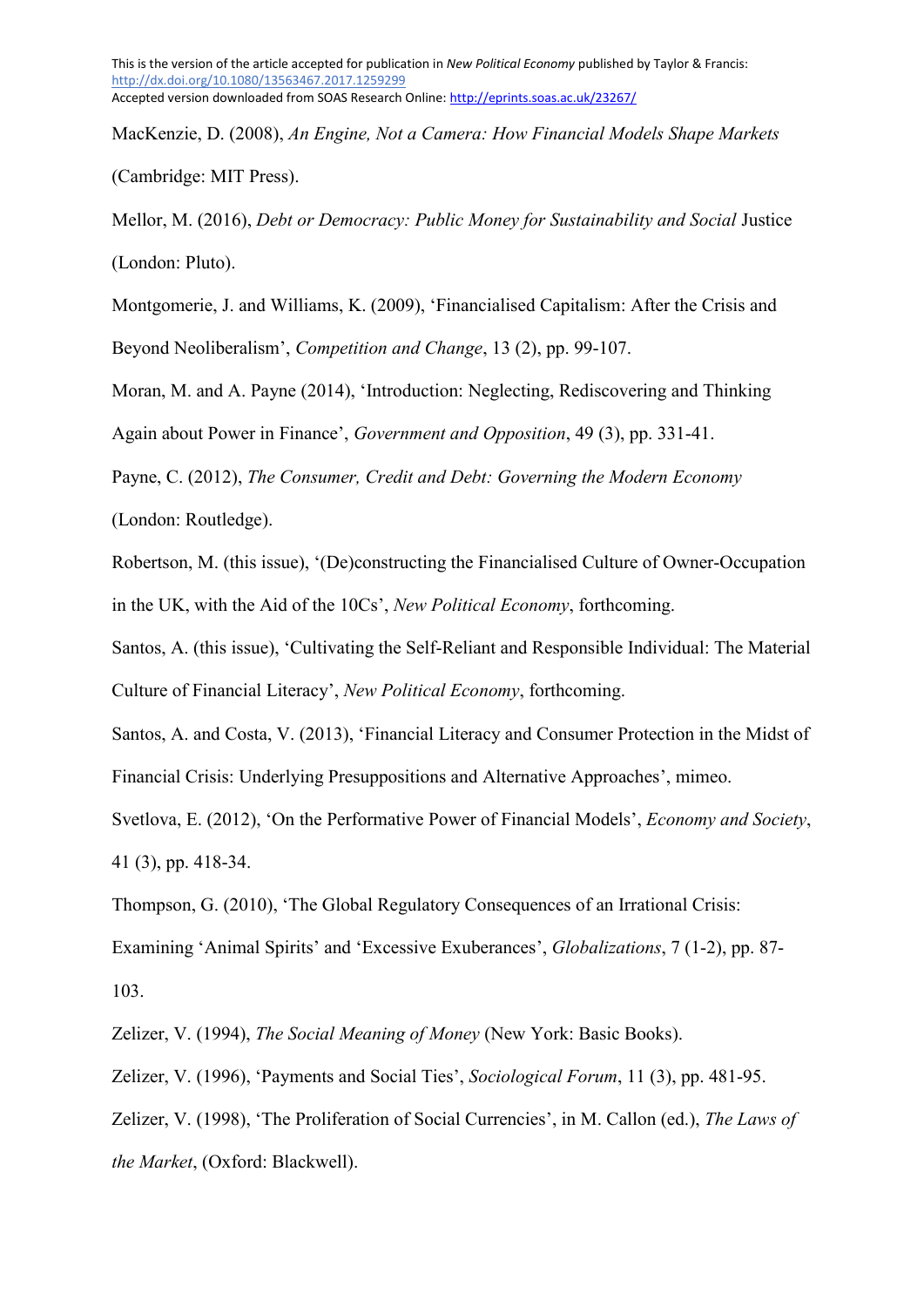MacKenzie, D. (2008), *An Engine, Not a Camera: How Financial Models Shape Markets* (Cambridge: MIT Press).

Mellor, M. (2016), *Debt or Democracy: Public Money for Sustainability and Social* Justice (London: Pluto).

Montgomerie, J. and Williams, K. (2009), "Financialised Capitalism: After the Crisis and Beyond Neoliberalism", *Competition and Change*, 13 (2), pp. 99-107.

Moran, M. and A. Payne (2014), "Introduction: Neglecting, [Rediscovering](http://journals.cambridge.org.ezproxy.soas.ac.uk/action/displayAbstract?fromPage=online&aid=9268503&fulltextType=RA&fileId=S0017257X14000013) and Thinking

Again about Power in [Finance](http://journals.cambridge.org.ezproxy.soas.ac.uk/action/displayAbstract?fromPage=online&aid=9268503&fulltextType=RA&fileId=S0017257X14000013)", *Government and Opposition*, 49 (3), pp. 331-41.

Payne, C. (2012), *The Consumer, Credit and Debt: Governing the Modern Economy*

(London: Routledge).

Robertson, M. (this issue), "(De)constructing the Financialised Culture of Owner-Occupation in the UK, with the Aid of the 10Cs", *New Political Economy*, forthcoming.

Santos, A. (this issue), "Cultivating the Self-Reliant and Responsible Individual: The Material Culture of Financial Literacy", *New Political Economy*, forthcoming.

Santos, A. and Costa, V. (2013), "Financial Literacy and Consumer Protection in the Midst of Financial Crisis: Underlying Presuppositions and Alternative Approaches', mimeo.

Svetlova, E. (2012), "On the Performative Power of Financial Models", *Economy and Society*, 41 (3), pp. 418-34.

Thompson, G. (2010), "The Global Regulatory Consequences of an Irrational Crisis:

Examining "Animal Spirits" and "Excessive Exuberances", *Globalizations*, 7 (1-2), pp. 87- 103.

Zelizer, V. (1994), *The Social Meaning of Money* (New York: Basic Books).

Zelizer, V. (1996), "Payments and Social Ties", *Sociological Forum*, 11 (3), pp. 481-95.

Zelizer, V. (1998), "The Proliferation of Social Currencies", in M. Callon (ed.), *The Laws of the Market*, (Oxford: Blackwell).